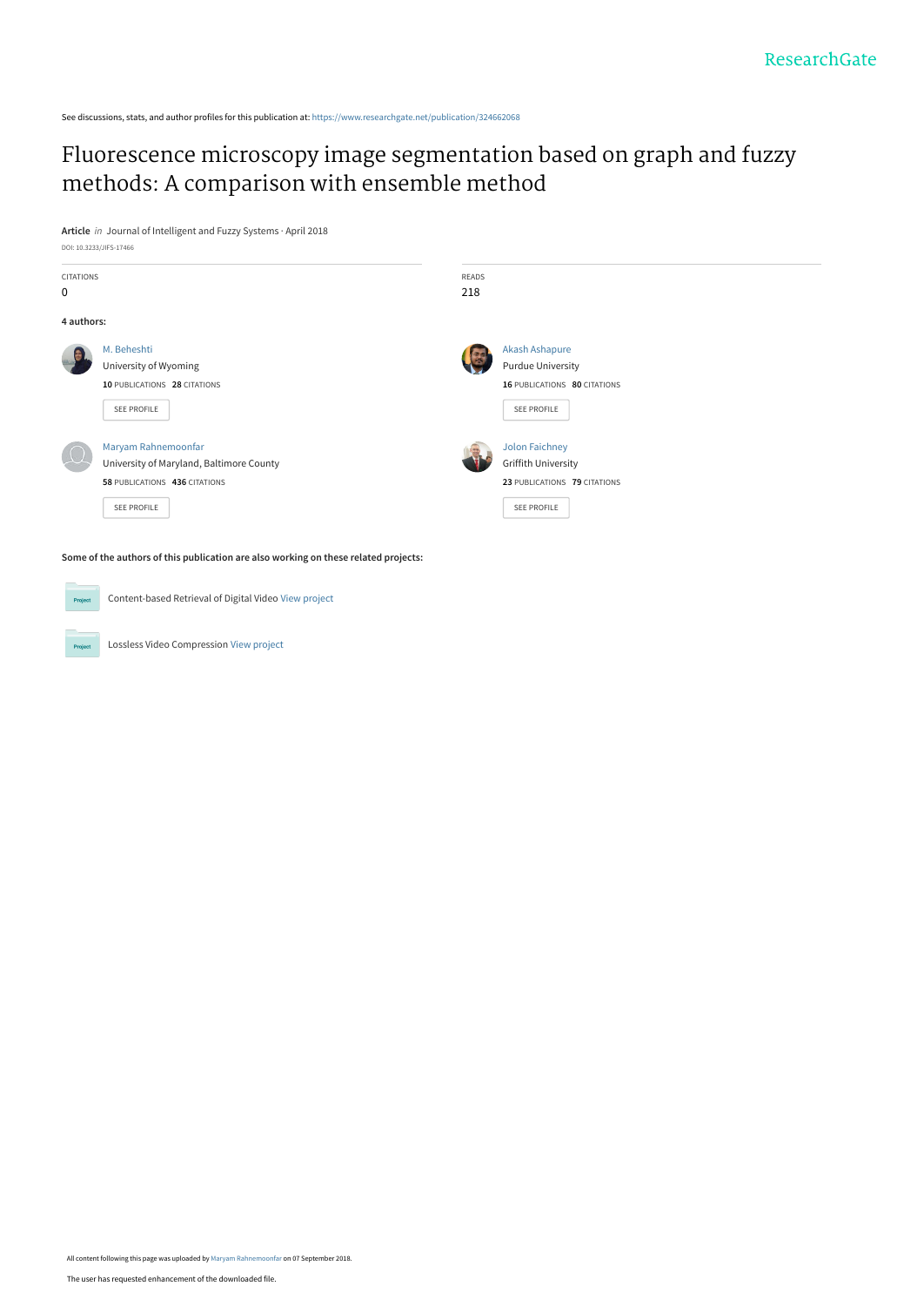See discussions, stats, and author profiles for this publication at: [https://www.researchgate.net/publication/324662068](https://www.researchgate.net/publication/324662068_Fluorescence_microscopy_image_segmentation_based_on_graph_and_fuzzy_methods_A_comparison_with_ensemble_method?enrichId=rgreq-5d5eae6acd125a2e164dff6f743be8fe-XXX&enrichSource=Y292ZXJQYWdlOzMyNDY2MjA2ODtBUzo2NjgzNDM0MDUxNDYxMjBAMTUzNjM1Njg5MzI2Mg%3D%3D&el=1_x_2&_esc=publicationCoverPdf)

# [Fluorescence microscopy image segmentation based on graph and fuzzy](https://www.researchgate.net/publication/324662068_Fluorescence_microscopy_image_segmentation_based_on_graph_and_fuzzy_methods_A_comparison_with_ensemble_method?enrichId=rgreq-5d5eae6acd125a2e164dff6f743be8fe-XXX&enrichSource=Y292ZXJQYWdlOzMyNDY2MjA2ODtBUzo2NjgzNDM0MDUxNDYxMjBAMTUzNjM1Njg5MzI2Mg%3D%3D&el=1_x_3&_esc=publicationCoverPdf) methods: A comparison with ensemble method

**Article** in Journal of Intelligent and Fuzzy Systems · April 2018 DOI: 10.3233/JIFS-17466



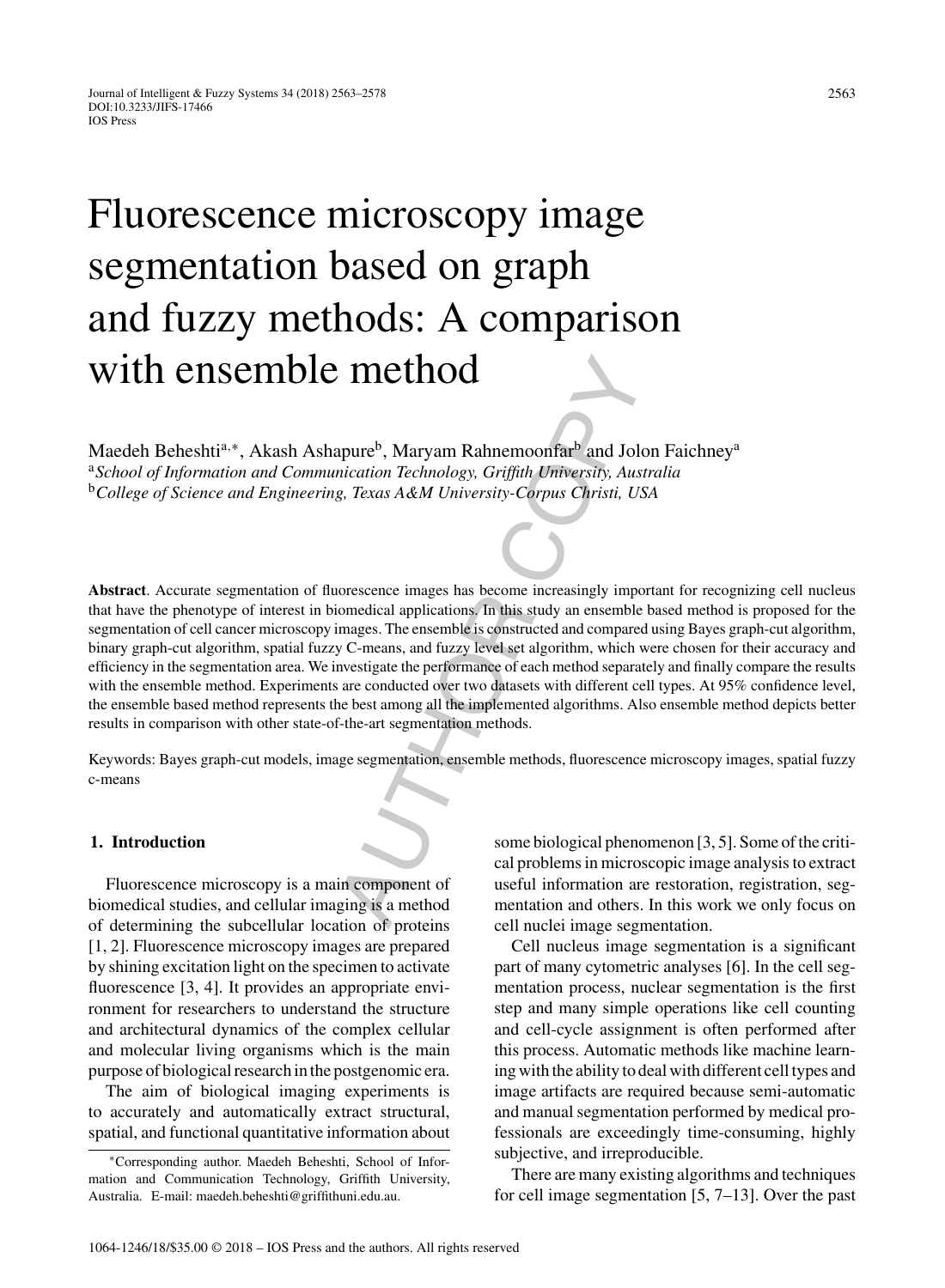# Fluorescence microscopy image segmentation based on graph and fuzzy methods: A comparison with ensemble method

Maedeh Beheshtia*,*<sup>∗</sup>, Akash Ashapureb, Maryam Rahnemoonfarb and Jolon Faichneya <sup>a</sup>*School of Information and Communication Technology, Griffith University, Australia* <sup>b</sup>*College of Science and Engineering, Texas A&M University-Corpus Christi, USA*

**EXECUTE:**<br> **EXECUTE:**<br> **EXECUTE:**<br> **EXECUTE:**<br> **EXECUTE:**<br> **EXECUTE:**<br> **EXECUTE:**<br> **EXECUTE:**<br> **EXECUTE:**<br> **EXECUTE:**<br> **EXECUTE:**<br> **EXECUTE:**<br> **EXECUTE:**<br> **EXECUTE:**<br> **EXECUTE:**<br> **EXECUTE:**<br> **EXECUTE:**<br> **EXECUTE:**<br> **EXECU Abstract**. Accurate segmentation of fluorescence images has become increasingly important for recognizing cell nucleus that have the phenotype of interest in biomedical applications. In this study an ensemble based method is proposed for the segmentation of cell cancer microscopy images. The ensemble is constructed and compared using Bayes graph-cut algorithm, binary graph-cut algorithm, spatial fuzzy C-means, and fuzzy level set algorithm, which were chosen for their accuracy and efficiency in the segmentation area. We investigate the performance of each method separately and finally compare the results with the ensemble method. Experiments are conducted over two datasets with different cell types. At 95% confidence level, the ensemble based method represents the best among all the implemented algorithms. Also ensemble method depicts better results in comparison with other state-of-the-art segmentation methods.

Keywords: Bayes graph-cut models, image segmentation, ensemble methods, fluorescence microscopy images, spatial fuzzy c-means

## **1. Introduction**

Fluorescence microscopy is a main component of biomedical studies, and cellular imaging is a method of determining the subcellular location of proteins [1, 2]. Fluorescence microscopy images are prepared by shining excitation light on the specimen to activate fluorescence [3, 4]. It provides an appropriate environment for researchers to understand the structure and architectural dynamics of the complex cellular and molecular living organisms which is the main purpose of biological research in the postgenomic era.

The aim of biological imaging experiments is to accurately and automatically extract structural, spatial, and functional quantitative information about some biological phenomenon [3, 5]. Some of the critical problems in microscopic image analysis to extract useful information are restoration, registration, segmentation and others. In this work we only focus on cell nuclei image segmentation.

Cell nucleus image segmentation is a significant part of many cytometric analyses [6]. In the cell segmentation process, nuclear segmentation is the first step and many simple operations like cell counting and cell-cycle assignment is often performed after this process. Automatic methods like machine learning with the ability to deal with different cell types and image artifacts are required because semi-automatic and manual segmentation performed by medical professionals are exceedingly time-consuming, highly subjective, and irreproducible.

There are many existing algorithms and techniques for cell image segmentation [5, 7–13]. Over the past

<sup>∗</sup>Corresponding author. Maedeh Beheshti, School of Information and Communication Technology, Griffith University, Australia. E-mail: [maedeh.beheshti@griffithuni.edu.au.](mailto:maedeh.beheshti@griffithuni.edu.au)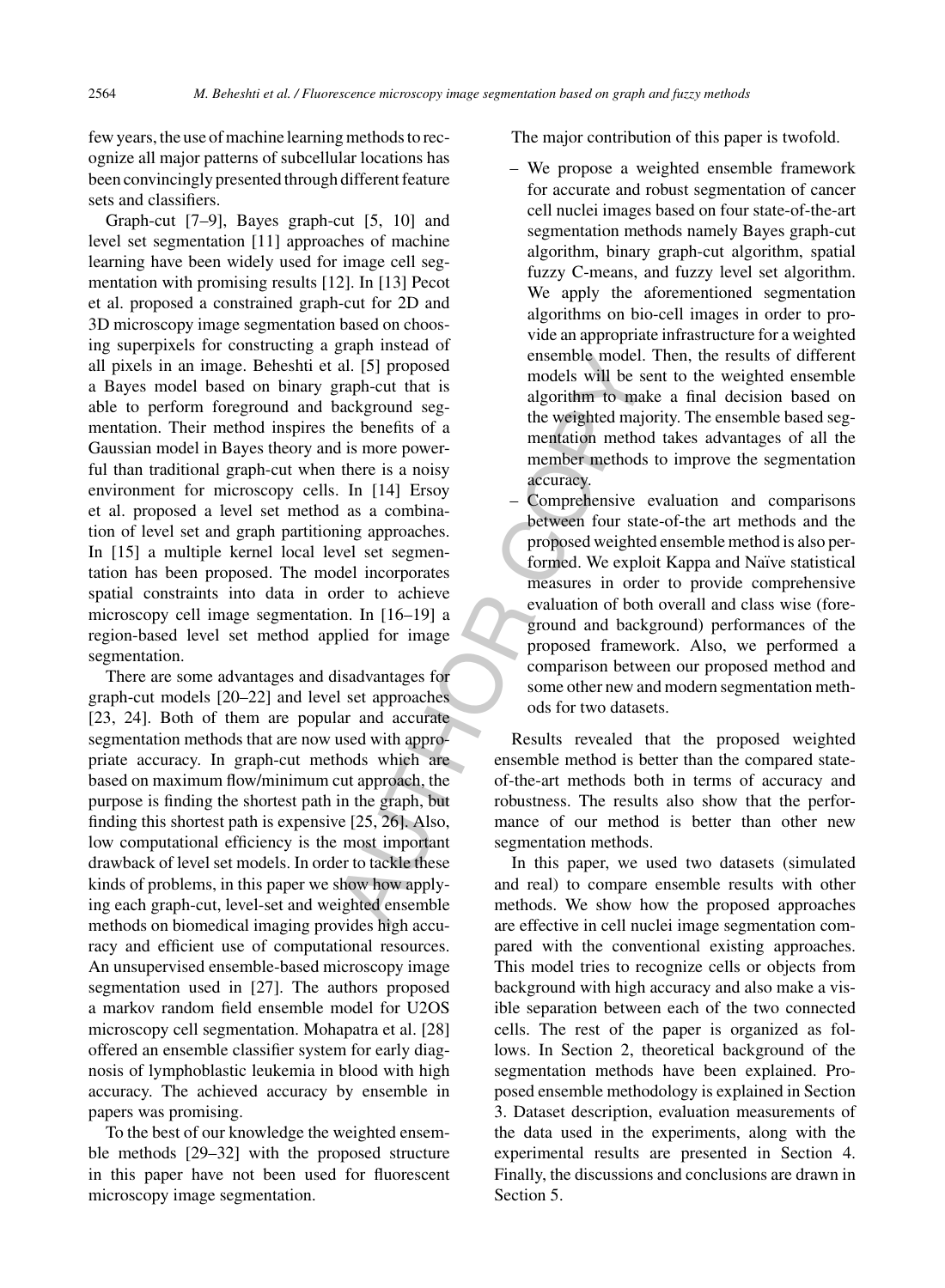few years, the use of machine learning methods to recognize all major patterns of subcellular locations has been convincingly presented through different feature sets and classifiers.

al. [5] proposed<br>
and is models will be subsemble models<br>
and the benefits of a<br>
the weighted maj<br>
the benefits of a<br>
the weighted maj<br>
the methods<br>
there is a noisy<br>
1 as a combina-<br>
1 as a combina-<br>
1 as a combina-<br>
and Graph-cut [7–9], Bayes graph-cut [5, 10] and level set segmentation [11] approaches of machine learning have been widely used for image cell segmentation with promising results [12]. In [13] Pecot et al. proposed a constrained graph-cut for 2D and 3D microscopy image segmentation based on choosing superpixels for constructing a graph instead of all pixels in an image. Beheshti et al. [5] proposed a Bayes model based on binary graph-cut that is able to perform foreground and background segmentation. Their method inspires the benefits of a Gaussian model in Bayes theory and is more powerful than traditional graph-cut when there is a noisy environment for microscopy cells. In [14] Ersoy et al. proposed a level set method as a combination of level set and graph partitioning approaches. In [15] a multiple kernel local level set segmentation has been proposed. The model incorporates spatial constraints into data in order to achieve microscopy cell image segmentation. In [16–19] a region-based level set method applied for image segmentation.

There are some advantages and disadvantages for graph-cut models [20–22] and level set approaches [23, 24]. Both of them are popular and accurate segmentation methods that are now used with appropriate accuracy. In graph-cut methods which are based on maximum flow/minimum cut approach, the purpose is finding the shortest path in the graph, but finding this shortest path is expensive [25, 26]. Also, low computational efficiency is the most important drawback of level set models. In order to tackle these kinds of problems, in this paper we show how applying each graph-cut, level-set and weighted ensemble methods on biomedical imaging provides high accuracy and efficient use of computational resources. An unsupervised ensemble-based microscopy image segmentation used in [27]. The authors proposed a markov random field ensemble model for U2OS microscopy cell segmentation. Mohapatra et al. [28] offered an ensemble classifier system for early diagnosis of lymphoblastic leukemia in blood with high accuracy. The achieved accuracy by ensemble in papers was promising.

To the best of our knowledge the weighted ensemble methods [29–32] with the proposed structure in this paper have not been used for fluorescent microscopy image segmentation.

The major contribution of this paper is twofold.

- We propose a weighted ensemble framework for accurate and robust segmentation of cancer cell nuclei images based on four state-of-the-art segmentation methods namely Bayes graph-cut algorithm, binary graph-cut algorithm, spatial fuzzy C-means, and fuzzy level set algorithm. We apply the aforementioned segmentation algorithms on bio-cell images in order to provide an appropriate infrastructure for a weighted ensemble model. Then, the results of different models will be sent to the weighted ensemble algorithm to make a final decision based on the weighted majority. The ensemble based segmentation method takes advantages of all the member methods to improve the segmentation accuracy.
- Comprehensive evaluation and comparisons between four state-of-the art methods and the proposed weighted ensemble method is also performed. We exploit Kappa and Naïve statistical measures in order to provide comprehensive evaluation of both overall and class wise (foreground and background) performances of the proposed framework. Also, we performed a comparison between our proposed method and some other new and modern segmentation methods for two datasets.

Results revealed that the proposed weighted ensemble method is better than the compared stateof-the-art methods both in terms of accuracy and robustness. The results also show that the performance of our method is better than other new segmentation methods.

In this paper, we used two datasets (simulated and real) to compare ensemble results with other methods. We show how the proposed approaches are effective in cell nuclei image segmentation compared with the conventional existing approaches. This model tries to recognize cells or objects from background with high accuracy and also make a visible separation between each of the two connected cells. The rest of the paper is organized as follows. In Section 2, theoretical background of the segmentation methods have been explained. Proposed ensemble methodology is explained in Section 3. Dataset description, evaluation measurements of the data used in the experiments, along with the experimental results are presented in Section 4. Finally, the discussions and conclusions are drawn in Section 5.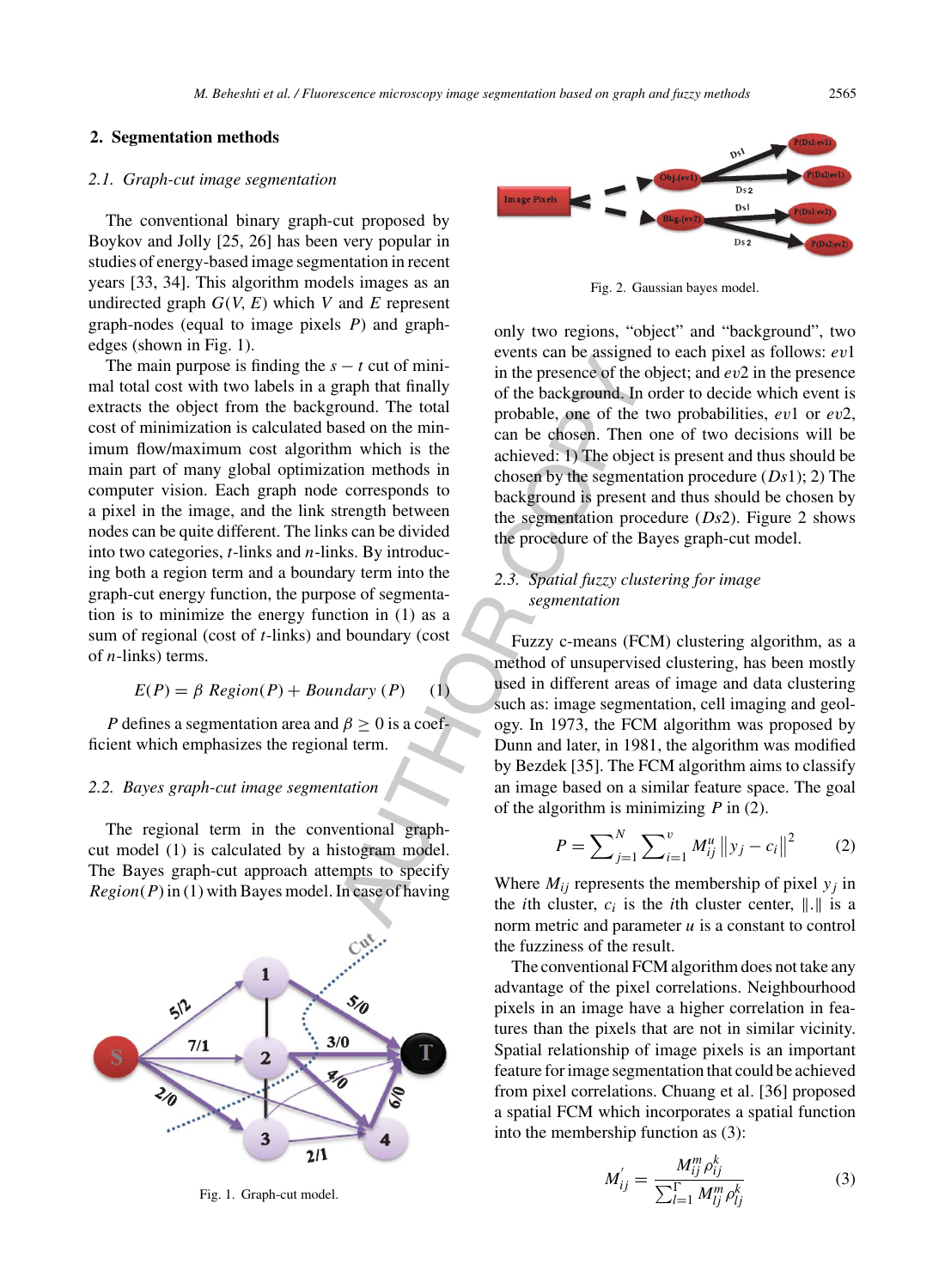# **2. Segmentation methods**

## *2.1. Graph-cut image segmentation*

The conventional binary graph-cut proposed by Boykov and Jolly [25, 26] has been very popular in studies of energy-based image segmentation in recent years [33, 34]. This algorithm models images as an undirected graph  $G(V, E)$  which  $V$  and  $E$  represent graph-nodes (equal to image pixels *P*) and graphedges (shown in Fig. 1).

 $t - t$  cut of mini-<br>
in the presence of the<br>
raph that finally<br>
of the background In<br>
round. The total<br>
and the mini-<br>
mum which is the<br>
and on the mini-<br>
corresponds to<br>
chosen by the segment<br>
the control of the segment<br> The main purpose is finding the  $s - t$  cut of minimal total cost with two labels in a graph that finally extracts the object from the background. The total cost of minimization is calculated based on the minimum flow/maximum cost algorithm which is the main part of many global optimization methods in computer vision. Each graph node corresponds to a pixel in the image, and the link strength between nodes can be quite different. The links can be divided into two categories, *t*-links and *n*-links. By introducing both a region term and a boundary term into the graph-cut energy function, the purpose of segmentation is to minimize the energy function in (1) as a sum of regional (cost of *t*-links) and boundary (cost of *n*-links) terms.

$$
E(P) = \beta \; Region(P) + Boundary(P) \tag{1}
$$

*P* defines a segmentation area and  $\beta \geq 0$  is a coefficient which emphasizes the regional term.

# *2.2. Bayes graph-cut image segmentation*

The regional term in the conventional graphcut model (1) is calculated by a histogram model. The Bayes graph-cut approach attempts to specify *Region*(*P*) in (1) with Bayes model. In case of having



Fig. 1. Graph-cut model.



Fig. 2. Gaussian bayes model.

only two regions, "object" and "background", two events can be assigned to each pixel as follows: *ev*1 in the presence of the object; and *ev*2 in the presence of the background. In order to decide which event is probable, one of the two probabilities, *ev*1 or *ev*2, can be chosen. Then one of two decisions will be achieved: 1) The object is present and thus should be chosen by the segmentation procedure (*Ds*1); 2) The background is present and thus should be chosen by the segmentation procedure (*Ds*2). Figure 2 shows the procedure of the Bayes graph-cut model.

# *2.3. Spatial fuzzy clustering for image segmentation*

Fuzzy c-means (FCM) clustering algorithm, as a method of unsupervised clustering, has been mostly used in different areas of image and data clustering such as: image segmentation, cell imaging and geology. In 1973, the FCM algorithm was proposed by Dunn and later, in 1981, the algorithm was modified by Bezdek [35]. The FCM algorithm aims to classify an image based on a similar feature space. The goal of the algorithm is minimizing *P* in (2).

$$
P = \sum_{j=1}^{N} \sum_{i=1}^{v} M_{ij}^{u} ||y_j - c_i||^2
$$
 (2)

Where  $M_{ij}$  represents the membership of pixel  $y_j$  in the *i*th cluster,  $c_i$  is the *i*th cluster center,  $\| \cdot \|$  is a norm metric and parameter *u* is a constant to control the fuzziness of the result.

The conventional FCM algorithm does not take any advantage of the pixel correlations. Neighbourhood pixels in an image have a higher correlation in features than the pixels that are not in similar vicinity. Spatial relationship of image pixels is an important feature for image segmentation that could be achieved from pixel correlations. Chuang et al. [36] proposed a spatial FCM which incorporates a spatial function into the membership function as (3):

$$
M_{ij}^{'} = \frac{M_{ij}^{m} \rho_{ij}^{k}}{\sum_{l=1}^{\Gamma} M_{lj}^{m} \rho_{lj}^{k}}
$$
(3)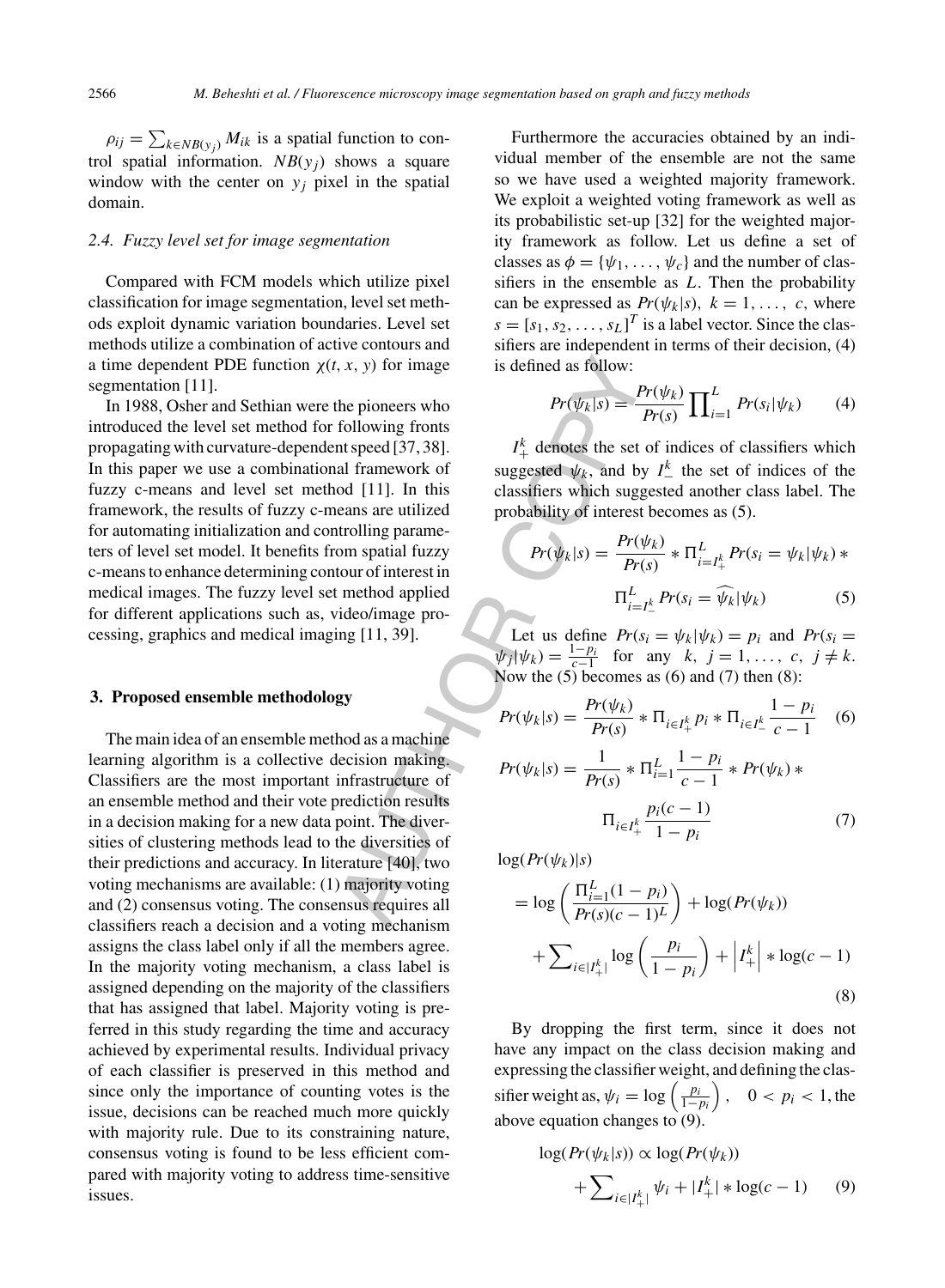$\rho_{ij} = \sum_{k \in NB(y_j)} M_{ik}$  is a spatial function to control spatial information.  $NB(y_i)$  shows a square window with the center on  $y_i$  pixel in the spatial domain.

#### *2.4. Fuzzy level set for image segmentation*

Compared with FCM models which utilize pixel classification for image segmentation, level set methods exploit dynamic variation boundaries. Level set methods utilize a combination of active contours and a time dependent PDE function  $\chi(t, x, y)$  for image segmentation [11].

t, x, y) for image<br>
the pioneers who<br>
following fronts<br>
the pioneers who<br>
following fronts<br>
nt speed [37, 38].<br>  $I_+^k$  denotes the set<br>
and framework of<br>
suggested  $\psi_k$ , and by<br>
clear to suggested  $\psi_k$ , and by<br>
clear t In 1988, Osher and Sethian were the pioneers who introduced the level set method for following fronts propagating with curvature-dependent speed [37, 38]. In this paper we use a combinational framework of fuzzy c-means and level set method [11]. In this framework, the results of fuzzy c-means are utilized for automating initialization and controlling parameters of level set model. It benefits from spatial fuzzy c-means to enhance determining contour of interest in medical images. The fuzzy level set method applied for different applications such as, video/image processing, graphics and medical imaging [11, 39].

#### **3. Proposed ensemble methodology**

The main idea of an ensemble method as a machine learning algorithm is a collective decision making. Classifiers are the most important infrastructure of an ensemble method and their vote prediction results in a decision making for a new data point. The diversities of clustering methods lead to the diversities of their predictions and accuracy. In literature [40], two voting mechanisms are available: (1) majority voting and (2) consensus voting. The consensus requires all classifiers reach a decision and a voting mechanism assigns the class label only if all the members agree. In the majority voting mechanism, a class label is assigned depending on the majority of the classifiers that has assigned that label. Majority voting is preferred in this study regarding the time and accuracy achieved by experimental results. Individual privacy of each classifier is preserved in this method and since only the importance of counting votes is the issue, decisions can be reached much more quickly with majority rule. Due to its constraining nature, consensus voting is found to be less efficient compared with majority voting to address time-sensitive issues.

Furthermore the accuracies obtained by an individual member of the ensemble are not the same so we have used a weighted majority framework. We exploit a weighted voting framework as well as its probabilistic set-up [32] for the weighted majority framework as follow. Let us define a set of classes as  $\phi = {\psi_1, \ldots, \psi_c}$  and the number of classifiers in the ensemble as *L*. Then the probability can be expressed as  $Pr(\psi_k|s)$ ,  $k = 1, \ldots, c$ , where  $s = [s_1, s_2, \dots, s_L]^T$  is a label vector. Since the classifiers are independent in terms of their decision, (4) is defined as follow:

$$
Pr(\psi_k|s) = \frac{Pr(\psi_k)}{Pr(s)} \prod_{i=1}^{L} Pr(s_i|\psi_k)
$$
 (4)

 $I^k_+$  denotes the set of indices of classifiers which suggested  $\psi_k$ , and by  $I^k$  the set of indices of the classifiers which suggested another class label. The probability of interest becomes as (5).

$$
Pr(\psi_k|s) = \frac{Pr(\psi_k)}{Pr(s)} * \Pi_{i=1^k_+}^L Pr(s_i = \psi_k|\psi_k) * \Pi_{i=1^k_-}^L Pr(s_i = \widehat{\psi_k}|\psi_k)
$$
(5)

Let us define  $Pr(s_i = \psi_k | \psi_k) = p_i$  and  $Pr(s_i =$  $\psi_j|\psi_k) = \frac{1-p_i}{c-1}$  for any *k, j* = 1*, ..., c, j*  $\neq$  *k*. Now the  $(5)$  becomes as  $(6)$  and  $(7)$  then  $(8)$ :

$$
Pr(\psi_k|s) = \frac{Pr(\psi_k)}{Pr(s)} * \Pi_{i \in I^k_+} p_i * \Pi_{i \in I^k_-} \frac{1 - p_i}{c - 1} \quad (6)
$$
  

$$
Pr(\psi_k|s) = \frac{1}{P(s)} * \Pi_{i=1}^L \frac{1 - p_i}{1} * Pr(\psi_k) *
$$

$$
|s) = \frac{1}{Pr(s)} * \Pi_{i=1}^{L} \frac{1}{c-1} * Pr(\psi_k) * \Pi_{i \in I^k_+} \frac{p_i(c-1)}{1-p_i}
$$
 (7)

 $\log(Pr(\psi_k)|s)$  $= \log \left( \frac{\prod_{i=1}^{L} (1 - p_i)}{\prod_{i=1}^{L} (1 - p_i)} \right)$ *Pr*(*s*)(*c* – 1)<sup>*L*</sup>  $\setminus$  $+ \log(Pr(\psi_k))$  $+\sum_{i\in |I^k_+|} \log \left(\frac{p_i}{1-p_i}\right)$  $\lambda$  $+$   $\left| I_+^k \right|$  $\left| * \log(c-1) \right|$ 

By dropping the first term, since it does not have any impact on the class decision making and expressing the classifier weight, and defining the classifier weight as,  $\psi_i = \log \left( \frac{p_i}{1-p_i} \right)$  $\left( \begin{array}{cc} 0 & 0 \\ 0 & 1 \end{array} \right)$ ,  $0 \leq p_i \leq 1$ , the above equation changes to (9).

$$
\log(Pr(\psi_k|s)) \propto \log(Pr(\psi_k))
$$
  
+ 
$$
\sum_{i \in |I^k_+|} \psi_i + |I^k_+| * \log(c-1) \qquad (9)
$$

(8)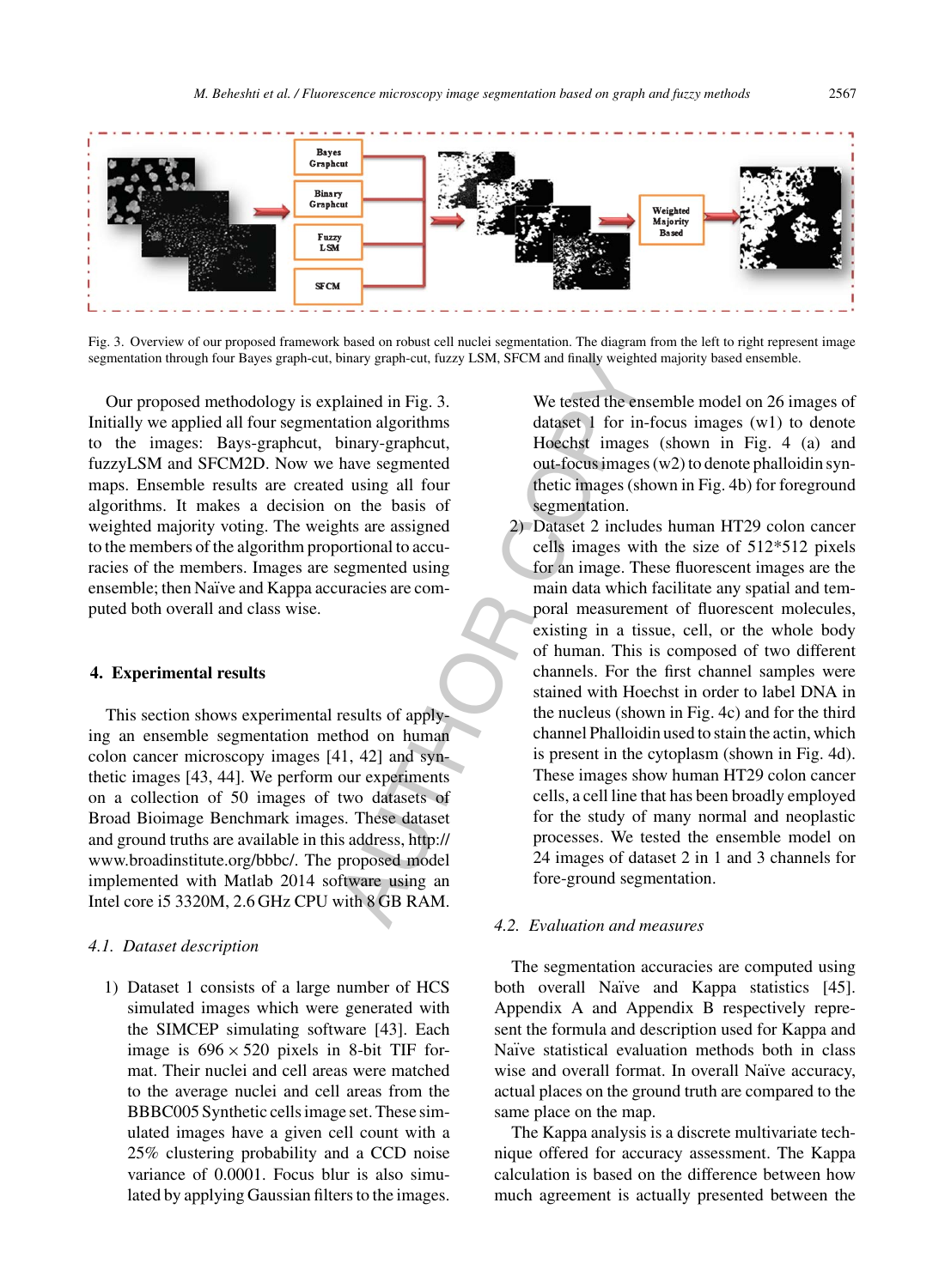

Fig. 3. Overview of our proposed framework based on robust cell nuclei segmentation. The diagram from the left to right represent image segmentation through four Bayes graph-cut, binary graph-cut, fuzzy LSM, SFCM and finally weighted majority based ensemble.

Our proposed methodology is explained in Fig. 3. Initially we applied all four segmentation algorithms to the images: Bays-graphcut, binary-graphcut, fuzzyLSM and SFCM2D. Now we have segmented maps. Ensemble results are created using all four algorithms. It makes a decision on the basis of weighted majority voting. The weights are assigned to the members of the algorithm proportional to accuracies of the members. Images are segmented using ensemble; then Naïve and Kappa accuracies are computed both overall and class wise.

#### **4. Experimental results**

This section shows experimental results of applying an ensemble segmentation method on human colon cancer microscopy images [41, 42] and synthetic images [43, 44]. We perform our experiments on a collection of 50 images of two datasets of Broad Bioimage Benchmark images. These dataset and ground truths are available in this address, http:// [www.broadinstitute.org/bbbc/.](http://www.broadinstitute.org/bbbc/) The proposed model implemented with Matlab 2014 software using an Intel core i5 3320M, 2.6 GHz CPU with 8 GB RAM.

#### *4.1. Dataset description*

1) Dataset 1 consists of a large number of HCS simulated images which were generated with the SIMCEP simulating software [43]. Each image is  $696 \times 520$  pixels in 8-bit TIF format. Their nuclei and cell areas were matched to the average nuclei and cell areas from the BBBC005 Synthetic cells image set. These simulated images have a given cell count with a 25% clustering probability and a CCD noise variance of 0.0001. Focus blur is also simulated by applying Gaussian filters to the images.

We tested the ensemble model on 26 images of dataset 1 for in-focus images (w1) to denote Hoechst images (shown in Fig. 4 (a) and out-focus images (w2) to denote phalloidin synthetic images (shown in Fig. 4b) for foreground segmentation.

binary graph-cut, fuzzy LSM, SFCM and finally weight<br>
plained in Fig. 3. We tested the en<br>
dataset 1 for in<br>
thorax-graphett,<br>
have segmented<br>
dusing all four<br>
the basis of<br>
the basis of<br>
segmentation.<br>
2) Dataset 2 includ 2) Dataset 2 includes human HT29 colon cancer cells images with the size of 512\*512 pixels for an image. These fluorescent images are the main data which facilitate any spatial and temporal measurement of fluorescent molecules, existing in a tissue, cell, or the whole body of human. This is composed of two different channels. For the first channel samples were stained with Hoechst in order to label DNA in the nucleus (shown in Fig. 4c) and for the third channel Phalloidin used to stain the actin, which is present in the cytoplasm (shown in Fig. 4d). These images show human HT29 colon cancer cells, a cell line that has been broadly employed for the study of many normal and neoplastic processes. We tested the ensemble model on 24 images of dataset 2 in 1 and 3 channels for fore-ground segmentation.

## *4.2. Evaluation and measures*

The segmentation accuracies are computed using both overall Naïve and Kappa statistics [45]. Appendix A and Appendix B respectively represent the formula and description used for Kappa and Naïve statistical evaluation methods both in class wise and overall format. In overall Naïve accuracy, actual places on the ground truth are compared to the same place on the map.

The Kappa analysis is a discrete multivariate technique offered for accuracy assessment. The Kappa calculation is based on the difference between how much agreement is actually presented between the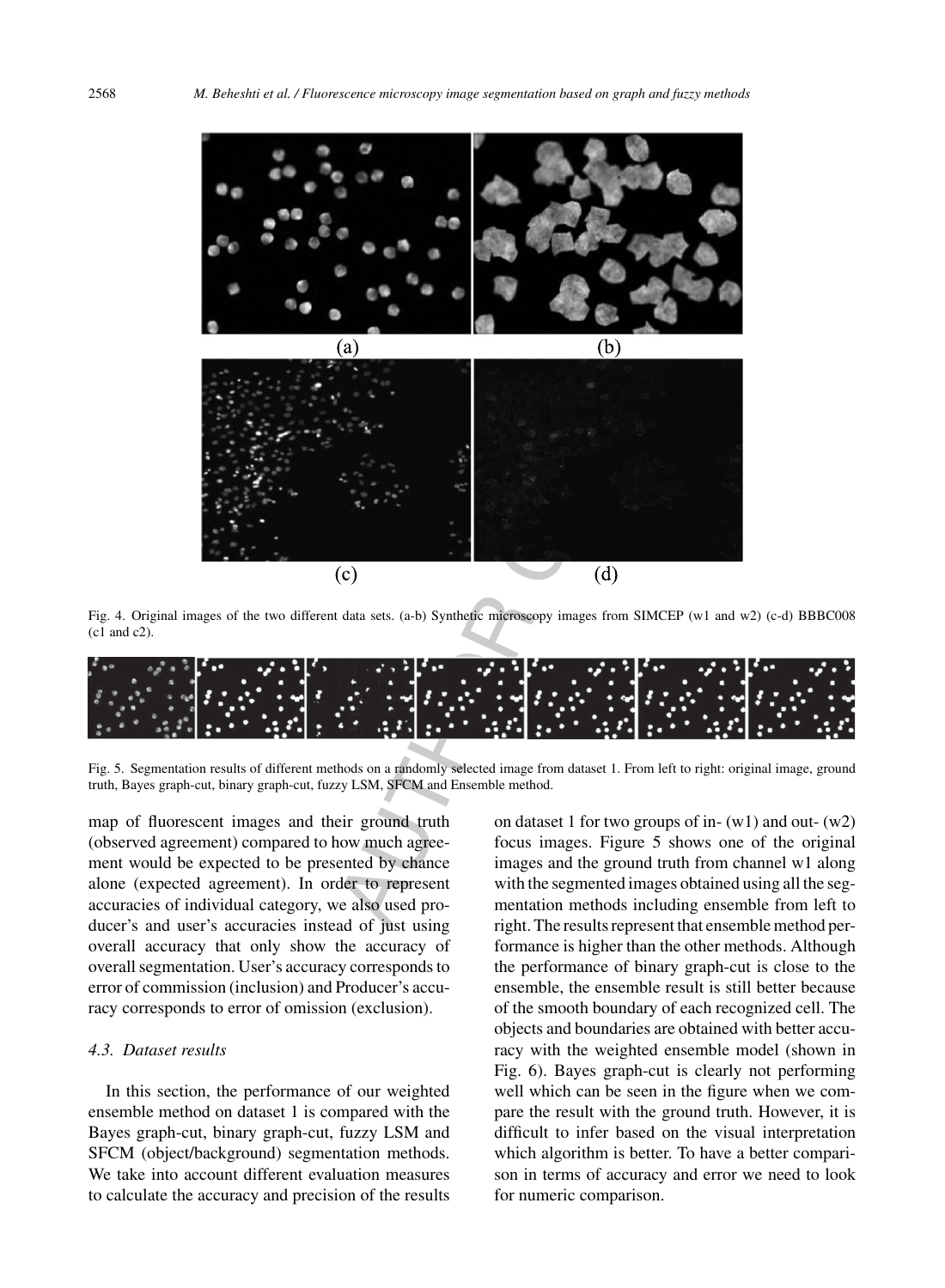

Fig. 4. Original images of the two different data sets. (a-b) Synthetic microscopy images from SIMCEP (w1 and w2) (c-d) BBBC008 (c1 and c2).



Fig. 5. Segmentation results of different methods on a randomly selected image from dataset 1. From left to right: original image, ground truth, Bayes graph-cut, binary graph-cut, fuzzy LSM, SFCM and Ensemble method.

map of fluorescent images and their ground truth (observed agreement) compared to how much agreement would be expected to be presented by chance alone (expected agreement). In order to represent accuracies of individual category, we also used producer's and user's accuracies instead of just using overall accuracy that only show the accuracy of overall segmentation. User's accuracy corresponds to error of commission (inclusion) and Producer's accuracy corresponds to error of omission (exclusion).

# *4.3. Dataset results*

In this section, the performance of our weighted ensemble method on dataset 1 is compared with the Bayes graph-cut, binary graph-cut, fuzzy LSM and SFCM (object/background) segmentation methods. We take into account different evaluation measures to calculate the accuracy and precision of the results on dataset 1 for two groups of in-  $(w1)$  and out-  $(w2)$ focus images. Figure 5 shows one of the original images and the ground truth from channel w1 along with the segmented images obtained using all the segmentation methods including ensemble from left to right. The results represent that ensemble method performance is higher than the other methods. Although the performance of binary graph-cut is close to the ensemble, the ensemble result is still better because of the smooth boundary of each recognized cell. The objects and boundaries are obtained with better accuracy with the weighted ensemble model (shown in Fig. 6). Bayes graph-cut is clearly not performing well which can be seen in the figure when we compare the result with the ground truth. However, it is difficult to infer based on the visual interpretation which algorithm is better. To have a better comparison in terms of accuracy and error we need to look for numeric comparison.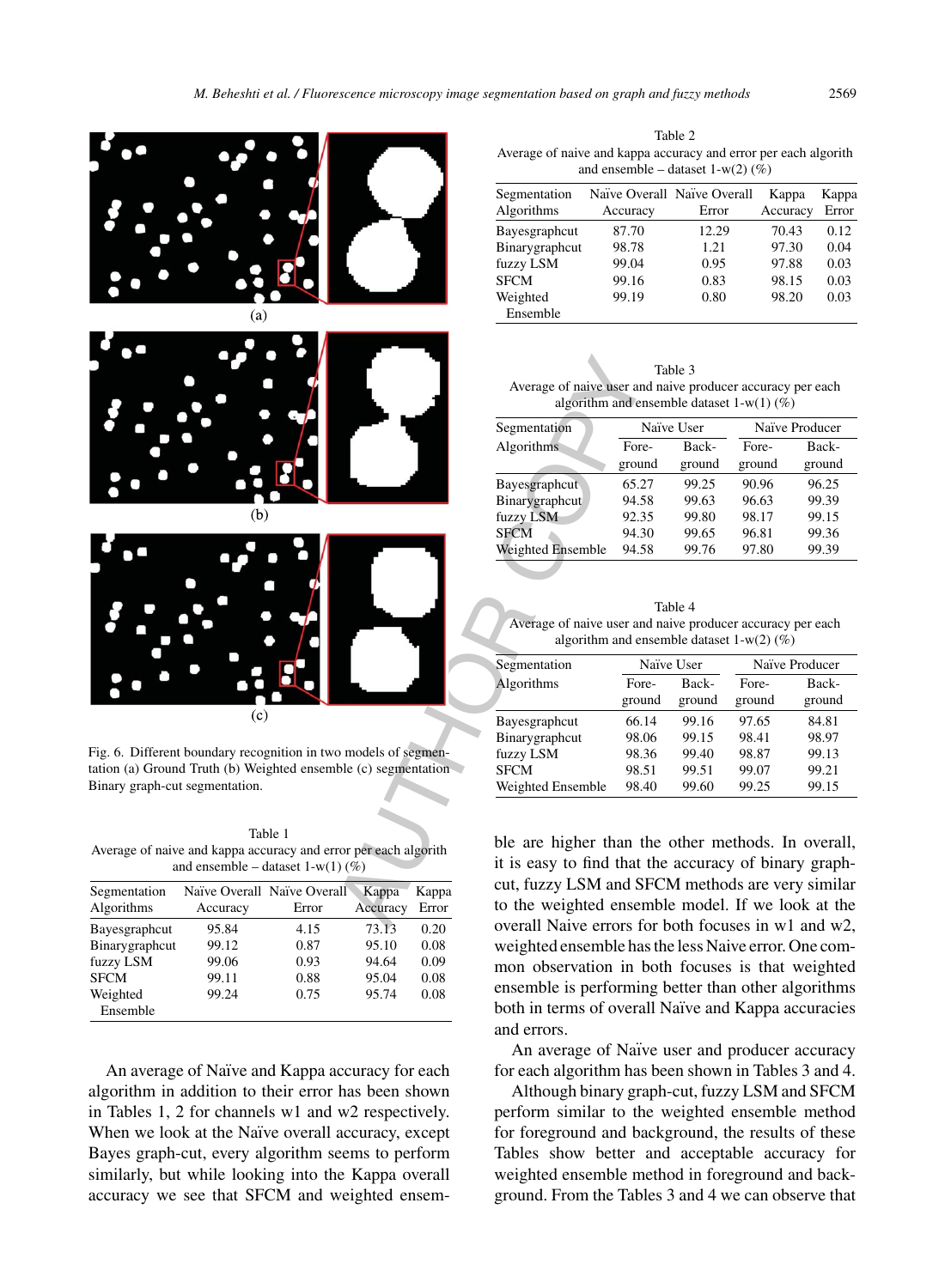

 $(c)$ 

Fig. 6. Different boundary recognition in two models of segmentation (a) Ground Truth (b) Weighted ensemble (c) segmentation Binary graph-cut segmentation.

Table 1 Average of naive and kappa accuracy and error per each algorith and ensemble – dataset  $1-w(1)$  (%)

| Segmentation   |          | Naïve Overall Naïve Overall | Kappa    | Kappa |
|----------------|----------|-----------------------------|----------|-------|
| Algorithms     | Accuracy | Error                       | Accuracy | Error |
| Bayesgraphcut  | 95.84    | 4.15                        | 73.13    | 0.20  |
| Binarygraphcut | 99.12    | 0.87                        | 95.10    | 0.08  |
| fuzzy LSM      | 99.06    | 0.93                        | 94.64    | 0.09  |
| <b>SFCM</b>    | 99.11    | 0.88                        | 95.04    | 0.08  |
| Weighted       | 99.24    | 0.75                        | 95.74    | 0.08  |
| Ensemble       |          |                             |          |       |

An average of Naïve and Kappa accuracy for each algorithm in addition to their error has been shown in Tables 1, 2 for channels w1 and w2 respectively. When we look at the Naïve overall accuracy, except Bayes graph-cut, every algorithm seems to perform similarly, but while looking into the Kappa overall accuracy we see that SFCM and weighted ensem-

Table 2 Average of naive and kappa accuracy and error per each algorith and ensemble – dataset  $1-w(2)$  (%)

| Segmentation<br>Algorithms | Accuracy | Naïve Overall Naïve Overall<br>Error | Kappa<br>Accuracy | Kappa<br>Error |
|----------------------------|----------|--------------------------------------|-------------------|----------------|
| Bayesgraphcut              | 87.70    | 12.29                                | 70.43             | 0.12           |
| Binarygraphcut             | 98.78    | 1.21                                 | 97.30             | 0.04           |
| fuzzy LSM                  | 99.04    | 0.95                                 | 97.88             | 0.03           |
| <b>SFCM</b>                | 99.16    | 0.83                                 | 98.15             | 0.03           |
| Weighted                   | 99.19    | 0.80                                 | 98.20             | 0.03           |
| Ensemble                   |          |                                      |                   |                |

| Table 3                                                    |
|------------------------------------------------------------|
| Average of naive user and naive producer accuracy per each |
| algorithm and ensemble dataset $1-w(1)$ (%)                |

| Segmentation      | Naïve User |        | Naïve Producer |        |
|-------------------|------------|--------|----------------|--------|
| Algorithms        | Fore-      | Back-  | Fore-          | Back-  |
|                   | ground     | ground | ground         | ground |
| Bayesgraphcut     | 65.27      | 99.25  | 90.96          | 96.25  |
| Binarygrapheut    | 94.58      | 99.63  | 96.63          | 99.39  |
| fuzzy LSM         | 92.35      | 99.80  | 98.17          | 99.15  |
| <b>SFCM</b>       | 94.30      | 99.65  | 96.81          | 99.36  |
| Weighted Ensemble | 94.58      | 99.76  | 97.80          | 99.39  |

Table 4 Average of naive user and naive producer accuracy per each algorithm and ensemble dataset  $1-w(2)$  (%)

| Segmentation      |                 | Naïve User      | Naïve Producer  |                 |
|-------------------|-----------------|-----------------|-----------------|-----------------|
| Algorithms        | Fore-<br>ground | Back-<br>ground | Fore-<br>ground | Back-<br>ground |
| Bayesgraphcut     | 66.14           | 99.16           | 97.65           | 84.81           |
| Binarygraphcut    | 98.06           | 99.15           | 98.41           | 98.97           |
| fuzzy LSM         | 98.36           | 99.40           | 98.87           | 99.13           |
| <b>SFCM</b>       | 98.51           | 99.51           | 99.07           | 99.21           |
| Weighted Ensemble | 98.40           | 99.60           | 99.25           | 99.15           |

ble are higher than the other methods. In overall, it is easy to find that the accuracy of binary graphcut, fuzzy LSM and SFCM methods are very similar to the weighted ensemble model. If we look at the overall Naive errors for both focuses in w1 and w2, weighted ensemble has the less Naive error. One common observation in both focuses is that weighted ensemble is performing better than other algorithms both in terms of overall Naïve and Kappa accuracies and errors.

An average of Naïve user and producer accuracy for each algorithm has been shown in Tables 3 and 4.

Although binary graph-cut, fuzzy LSM and SFCM perform similar to the weighted ensemble method for foreground and background, the results of these Tables show better and acceptable accuracy for weighted ensemble method in foreground and background. From the Tables 3 and 4 we can observe that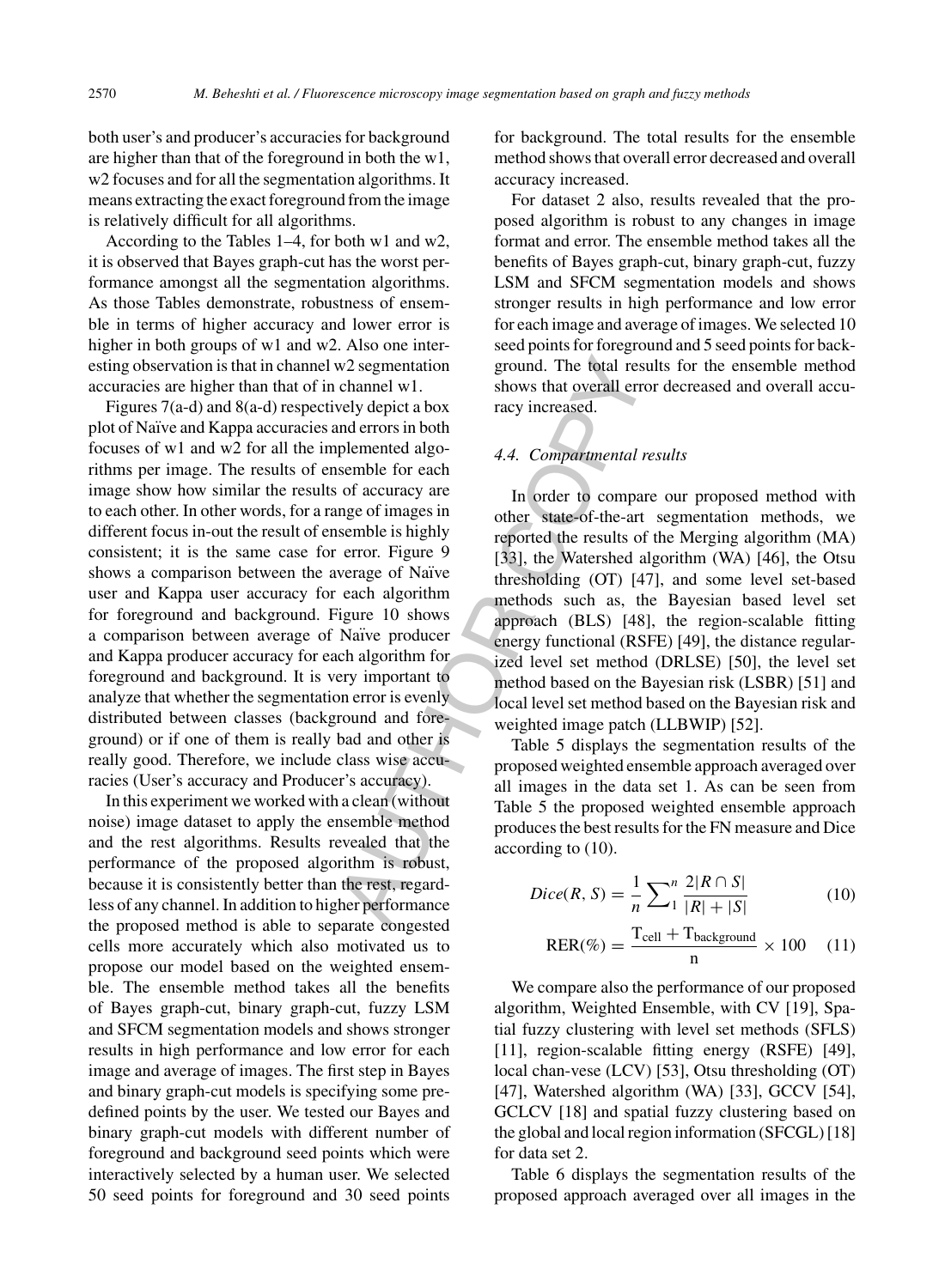both user's and producer's accuracies for background are higher than that of the foreground in both the w1, w2 focuses and for all the segmentation algorithms. It means extracting the exact foreground from the image is relatively difficult for all algorithms.

According to the Tables 1–4, for both w1 and w2, it is observed that Bayes graph-cut has the worst performance amongst all the segmentation algorithms. As those Tables demonstrate, robustness of ensemble in terms of higher accuracy and lower error is higher in both groups of w1 and w2. Also one interesting observation is that in channel w2 segmentation accuracies are higher than that of in channel w1.

w2 segmentation ground. The total resonance well by depict a box and errors in both plemented algo-<br>semble for each and errors in both plemented algo-<br>semble for each algo-<br>in order to comparable is highly<br>correct and the Figures 7(a-d) and 8(a-d) respectively depict a box plot of Na¨ıve and Kappa accuracies and errors in both focuses of w1 and w2 for all the implemented algorithms per image. The results of ensemble for each image show how similar the results of accuracy are to each other. In other words, for a range of images in different focus in-out the result of ensemble is highly consistent; it is the same case for error. Figure 9 shows a comparison between the average of Naïve user and Kappa user accuracy for each algorithm for foreground and background. Figure 10 shows a comparison between average of Na¨ıve producer and Kappa producer accuracy for each algorithm for foreground and background. It is very important to analyze that whether the segmentation error is evenly distributed between classes (background and foreground) or if one of them is really bad and other is really good. Therefore, we include class wise accuracies (User's accuracy and Producer's accuracy).

In this experiment we worked with a clean (without noise) image dataset to apply the ensemble method and the rest algorithms. Results revealed that the performance of the proposed algorithm is robust, because it is consistently better than the rest, regardless of any channel. In addition to higher performance the proposed method is able to separate congested cells more accurately which also motivated us to propose our model based on the weighted ensemble. The ensemble method takes all the benefits of Bayes graph-cut, binary graph-cut, fuzzy LSM and SFCM segmentation models and shows stronger results in high performance and low error for each image and average of images. The first step in Bayes and binary graph-cut models is specifying some predefined points by the user. We tested our Bayes and binary graph-cut models with different number of foreground and background seed points which were interactively selected by a human user. We selected 50 seed points for foreground and 30 seed points

for background. The total results for the ensemble method shows that overall error decreased and overall accuracy increased.

For dataset 2 also, results revealed that the proposed algorithm is robust to any changes in image format and error. The ensemble method takes all the benefits of Bayes graph-cut, binary graph-cut, fuzzy LSM and SFCM segmentation models and shows stronger results in high performance and low error for each image and average of images. We selected 10 seed points for foreground and 5 seed points for background. The total results for the ensemble method shows that overall error decreased and overall accuracy increased.

#### *4.4. Compartmental results*

In order to compare our proposed method with other state-of-the-art segmentation methods, we reported the results of the Merging algorithm (MA) [33], the Watershed algorithm (WA) [46], the Otsu thresholding (OT) [47], and some level set-based methods such as, the Bayesian based level set approach (BLS) [48], the region-scalable fitting energy functional (RSFE) [49], the distance regularized level set method (DRLSE) [50], the level set method based on the Bayesian risk (LSBR) [51] and local level set method based on the Bayesian risk and weighted image patch (LLBWIP) [52].

Table 5 displays the segmentation results of the proposed weighted ensemble approach averaged over all images in the data set 1. As can be seen from Table 5 the proposed weighted ensemble approach produces the best results for the FN measure and Dice according to (10).

$$
Dice(R, S) = \frac{1}{n} \sum_{1}^{n} \frac{2|R \cap S|}{|R| + |S|}
$$
(10)

$$
RER(\%) = \frac{T_{cell} + T_{background}}{n} \times 100 \quad (11)
$$

We compare also the performance of our proposed algorithm, Weighted Ensemble, with CV [19], Spatial fuzzy clustering with level set methods (SFLS) [11], region-scalable fitting energy (RSFE) [49], local chan-vese (LCV) [53], Otsu thresholding (OT) [47], Watershed algorithm (WA) [33], GCCV [54], GCLCV [18] and spatial fuzzy clustering based on the global and local region information (SFCGL) [18] for data set 2.

Table 6 displays the segmentation results of the proposed approach averaged over all images in the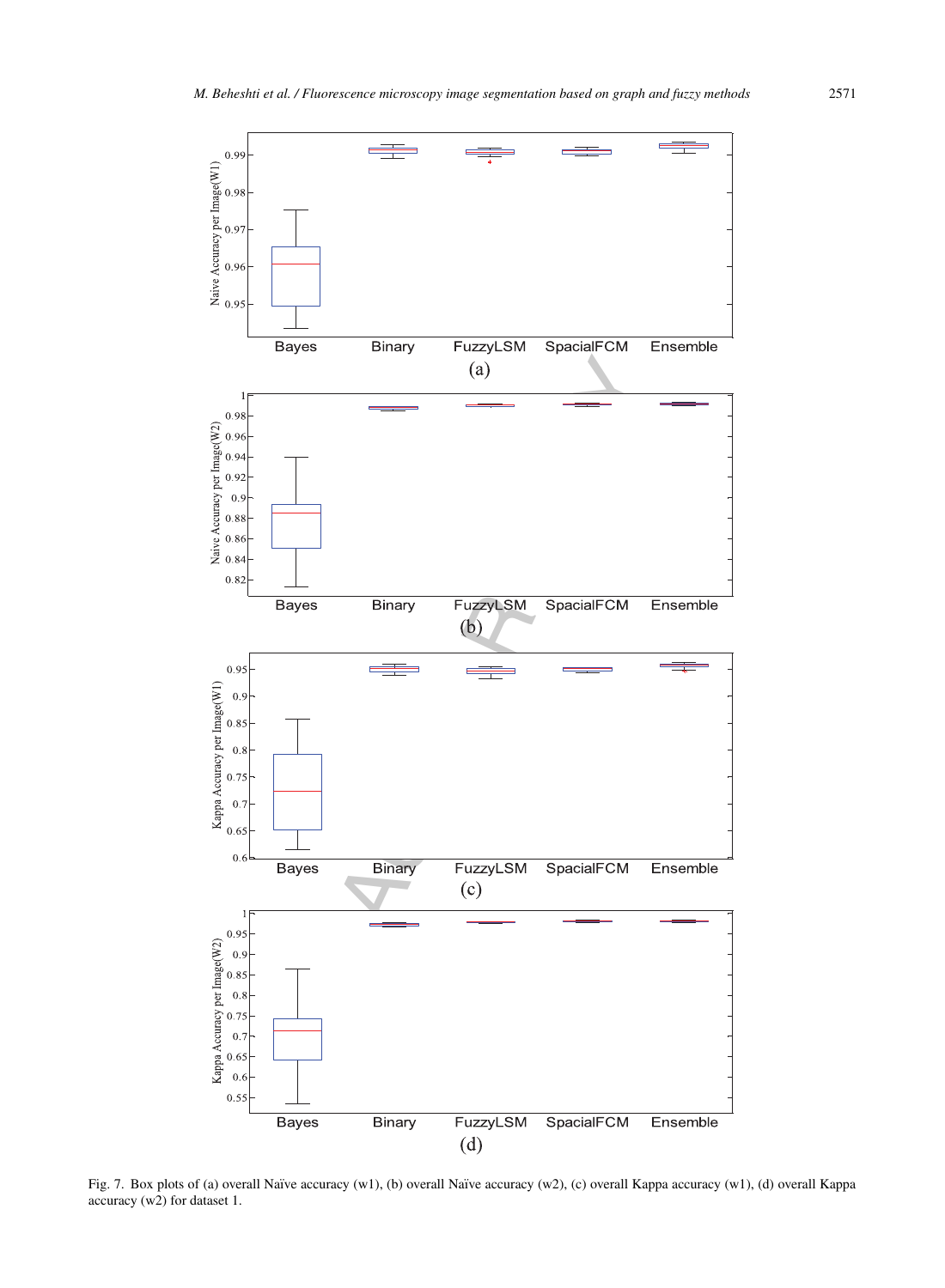

Fig. 7. Box plots of (a) overall Naïve accuracy (w1), (b) overall Naïve accuracy (w2), (c) overall Kappa accuracy (w1), (d) overall Kappa accuracy (w2) for dataset 1.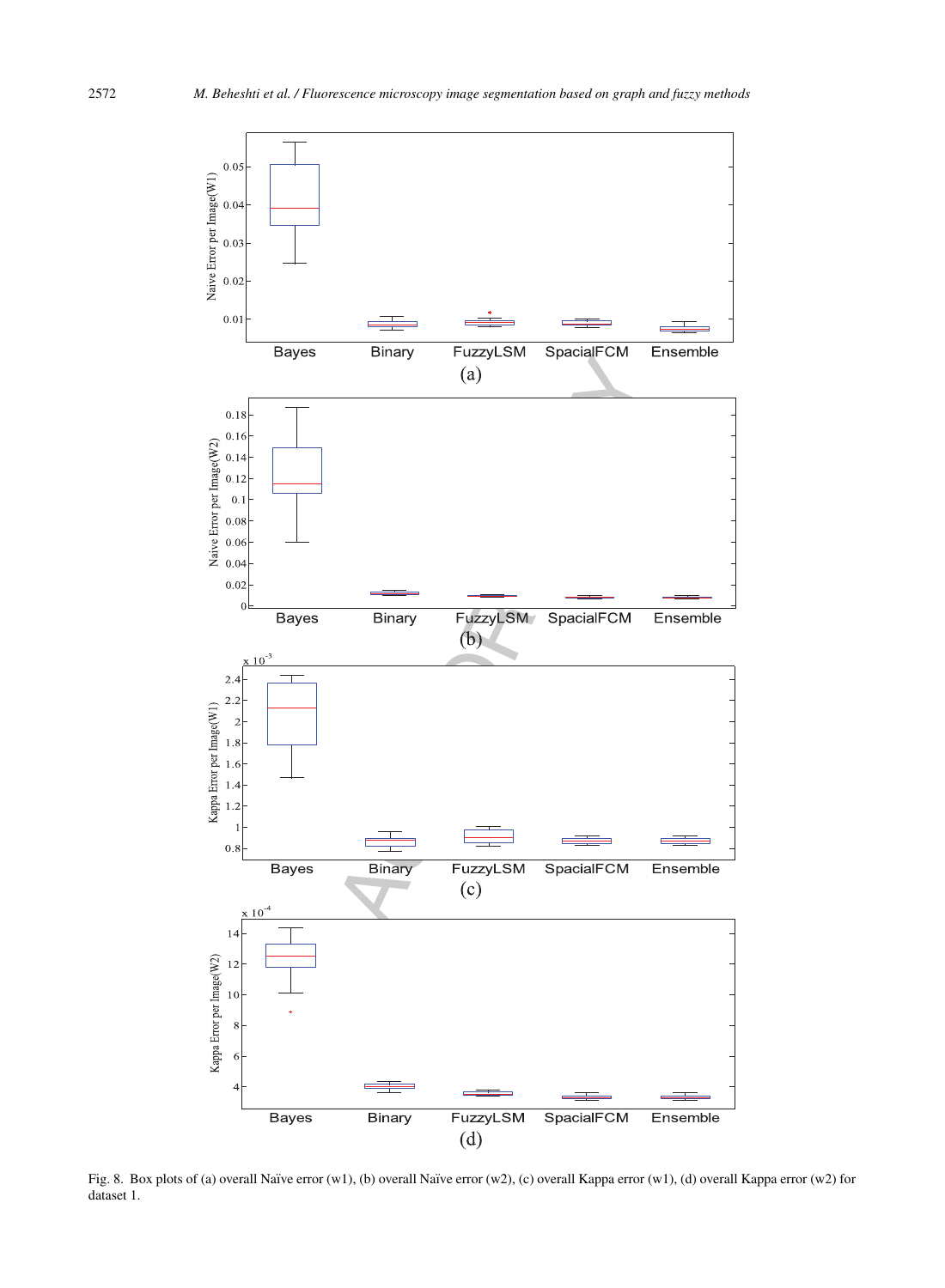

Fig. 8. Box plots of (a) overall Naïve error (w1), (b) overall Naïve error (w2), (c) overall Kappa error (w1), (d) overall Kappa error (w2) for dataset 1.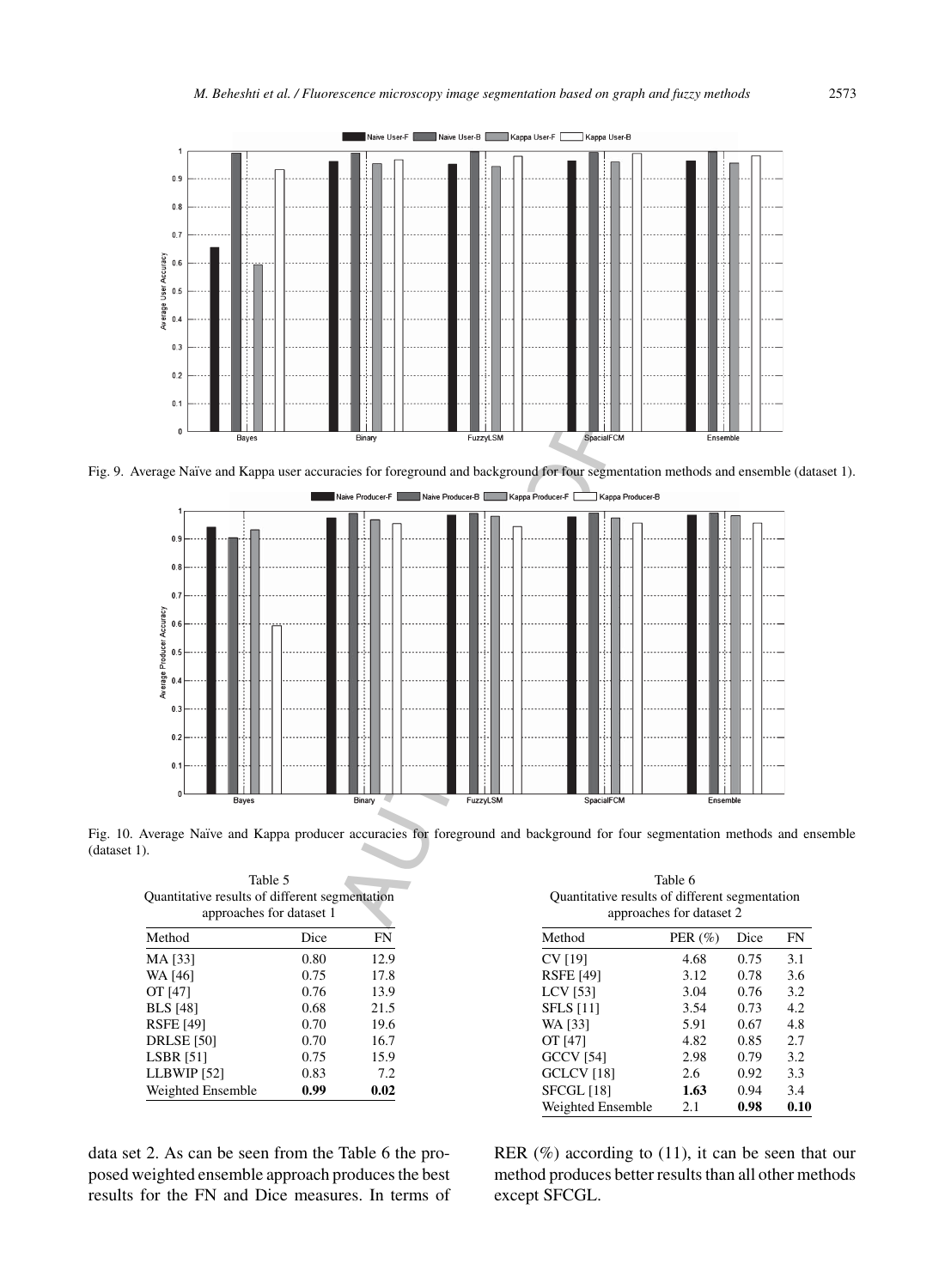

Fig. 9. Average Naïve and Kappa user accuracies for foreground and background for four segmentation methods and ensemble (dataset 1).



Fig. 10. Average Naïve and Kappa producer accuracies for foreground and background for four segmentation methods and ensemble (dataset 1).

| Table 5                                        |      |      |  |
|------------------------------------------------|------|------|--|
| Quantitative results of different segmentation |      |      |  |
| approaches for dataset 1                       |      |      |  |
| Method                                         | Dice | FN   |  |
| MA [33]                                        | 0.80 | 12.9 |  |
| WA [46]                                        | 0.75 | 17.8 |  |
| OT [47]                                        | 0.76 | 13.9 |  |
| <b>BLS</b> [48]                                | 0.68 | 21.5 |  |
| <b>RSFE [49]</b>                               | 0.70 | 19.6 |  |
| <b>DRLSE</b> [50]                              | 0.70 | 16.7 |  |
| <b>LSBR</b> [51]                               | 0.75 | 15.9 |  |
| LLBWIP <sup>[52]</sup>                         | 0.83 | 7.2  |  |
| Weighted Ensemble                              | 0.99 | 0.02 |  |

data set 2. As can be seen from the Table 6 the proposed weighted ensemble approach produces the best results for the FN and Dice measures. In terms of

| Table 6                                        |
|------------------------------------------------|
| Quantitative results of different segmentation |
| approaches for dataset 2                       |

| Method            | PER $(\% )$ | Dice | FN   |
|-------------------|-------------|------|------|
| CV [19]           | 4.68        | 0.75 | 3.1  |
| <b>RSFE [49]</b>  | 3.12        | 0.78 | 3.6  |
| <b>LCV</b> [53]   | 3.04        | 0.76 | 3.2  |
| <b>SFLS</b> [11]  | 3.54        | 0.73 | 4.2  |
| WA [33]           | 5.91        | 0.67 | 4.8  |
| OT [47]           | 4.82        | 0.85 | 2.7  |
| <b>GCCV</b> [54]  | 2.98        | 0.79 | 3.2  |
| <b>GCLCV</b> [18] | 2.6         | 0.92 | 3.3  |
| <b>SFCGL [18]</b> | 1.63        | 0.94 | 3.4  |
| Weighted Ensemble | 2.1         | 0.98 | 0.10 |

RER  $(\%)$  according to  $(11)$ , it can be seen that our method produces better results than all other methods except SFCGL.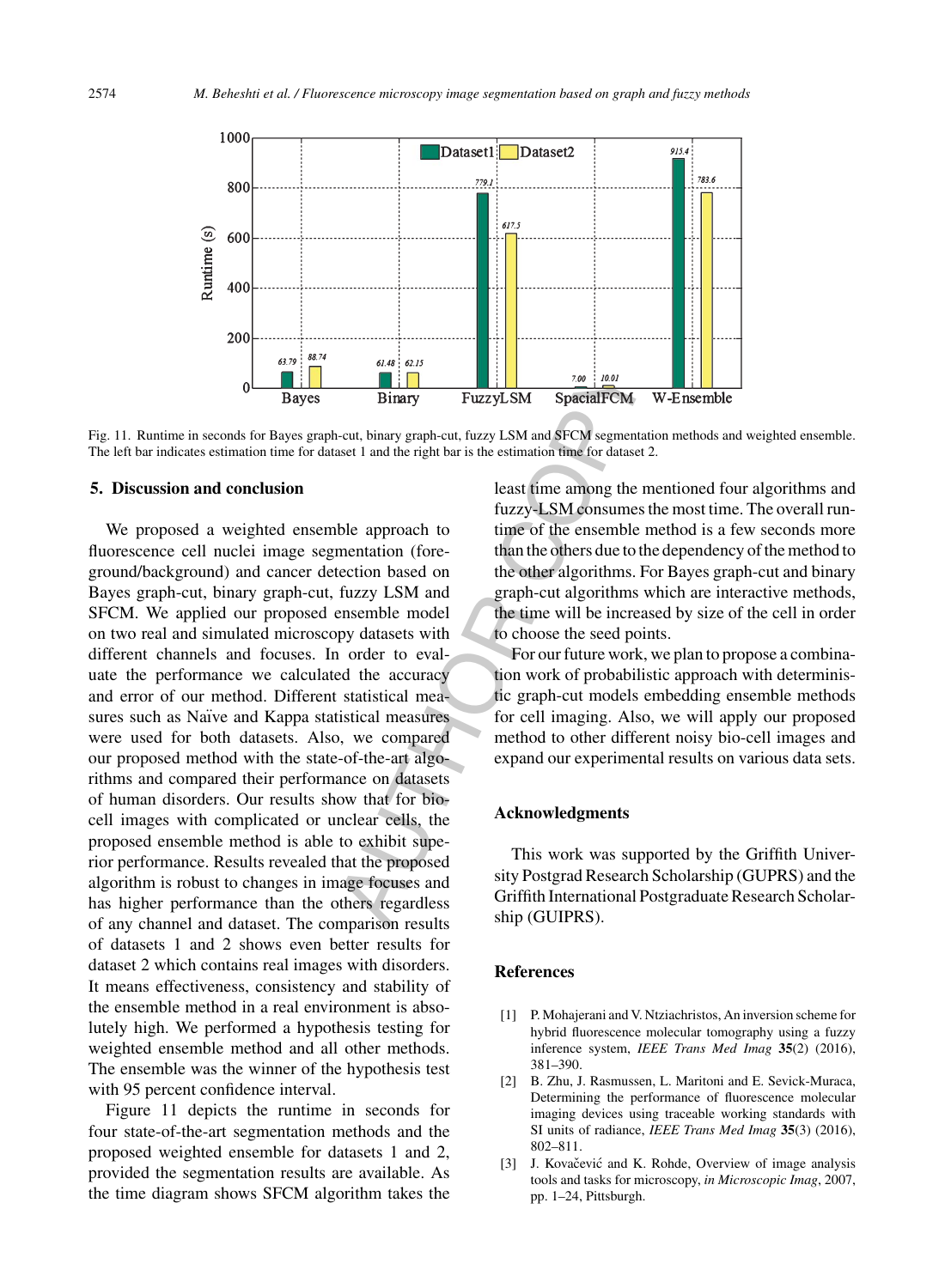

Fig. 11. Runtime in seconds for Bayes graph-cut, binary graph-cut, fuzzy LSM and SFCM segmentation methods and weighted ensemble. The left bar indicates estimation time for dataset 1 and the right bar is the estimation time for dataset 2.

#### **5. Discussion and conclusion**

**Example 1998**<br> **Example 1998**<br>
Binary FuzzyLSM SpacialFCM<br>
1-cut, binary graph-cut, fuzzy LSM and SFCM segmenta<br>
aset 1 and the right bar is the estimation time for dataset<br>
least time among the 1<br>
fuzzy-LSM consumes<br>
bl We proposed a weighted ensemble approach to fluorescence cell nuclei image segmentation (foreground/background) and cancer detection based on Bayes graph-cut, binary graph-cut, fuzzy LSM and SFCM. We applied our proposed ensemble model on two real and simulated microscopy datasets with different channels and focuses. In order to evaluate the performance we calculated the accuracy and error of our method. Different statistical measures such as Naïve and Kappa statistical measures were used for both datasets. Also, we compared our proposed method with the state-of-the-art algorithms and compared their performance on datasets of human disorders. Our results show that for biocell images with complicated or unclear cells, the proposed ensemble method is able to exhibit superior performance. Results revealed that the proposed algorithm is robust to changes in image focuses and has higher performance than the others regardless of any channel and dataset. The comparison results of datasets 1 and 2 shows even better results for dataset 2 which contains real images with disorders. It means effectiveness, consistency and stability of the ensemble method in a real environment is absolutely high. We performed a hypothesis testing for weighted ensemble method and all other methods. The ensemble was the winner of the hypothesis test with 95 percent confidence interval.

Figure 11 depicts the runtime in seconds for four state-of-the-art segmentation methods and the proposed weighted ensemble for datasets 1 and 2, provided the segmentation results are available. As the time diagram shows SFCM algorithm takes the

least time among the mentioned four algorithms and fuzzy-LSM consumes the most time. The overall runtime of the ensemble method is a few seconds more than the others due to the dependency of the method to the other algorithms. For Bayes graph-cut and binary graph-cut algorithms which are interactive methods, the time will be increased by size of the cell in order to choose the seed points.

For our future work, we plan to propose a combination work of probabilistic approach with deterministic graph-cut models embedding ensemble methods for cell imaging. Also, we will apply our proposed method to other different noisy bio-cell images and expand our experimental results on various data sets.

#### **Acknowledgments**

This work was supported by the Griffith University Postgrad Research Scholarship (GUPRS) and the Griffith International Postgraduate Research Scholarship (GUIPRS).

#### **References**

- [1] P. Mohajerani and V. Ntziachristos, An inversion scheme for hybrid fluorescence molecular tomography using a fuzzy inference system, *IEEE Trans Med Imag* **35**(2) (2016), 381–390.
- [2] B. Zhu, J. Rasmussen, L. Maritoni and E. Sevick-Muraca, Determining the performance of fluorescence molecular imaging devices using traceable working standards with SI units of radiance, *IEEE Trans Med Imag* **35**(3) (2016), 802–811.
- [3] J. Kovačević and K. Rohde, Overview of image analysis tools and tasks for microscopy, *in Microscopic Imag*, 2007, pp. 1–24, Pittsburgh.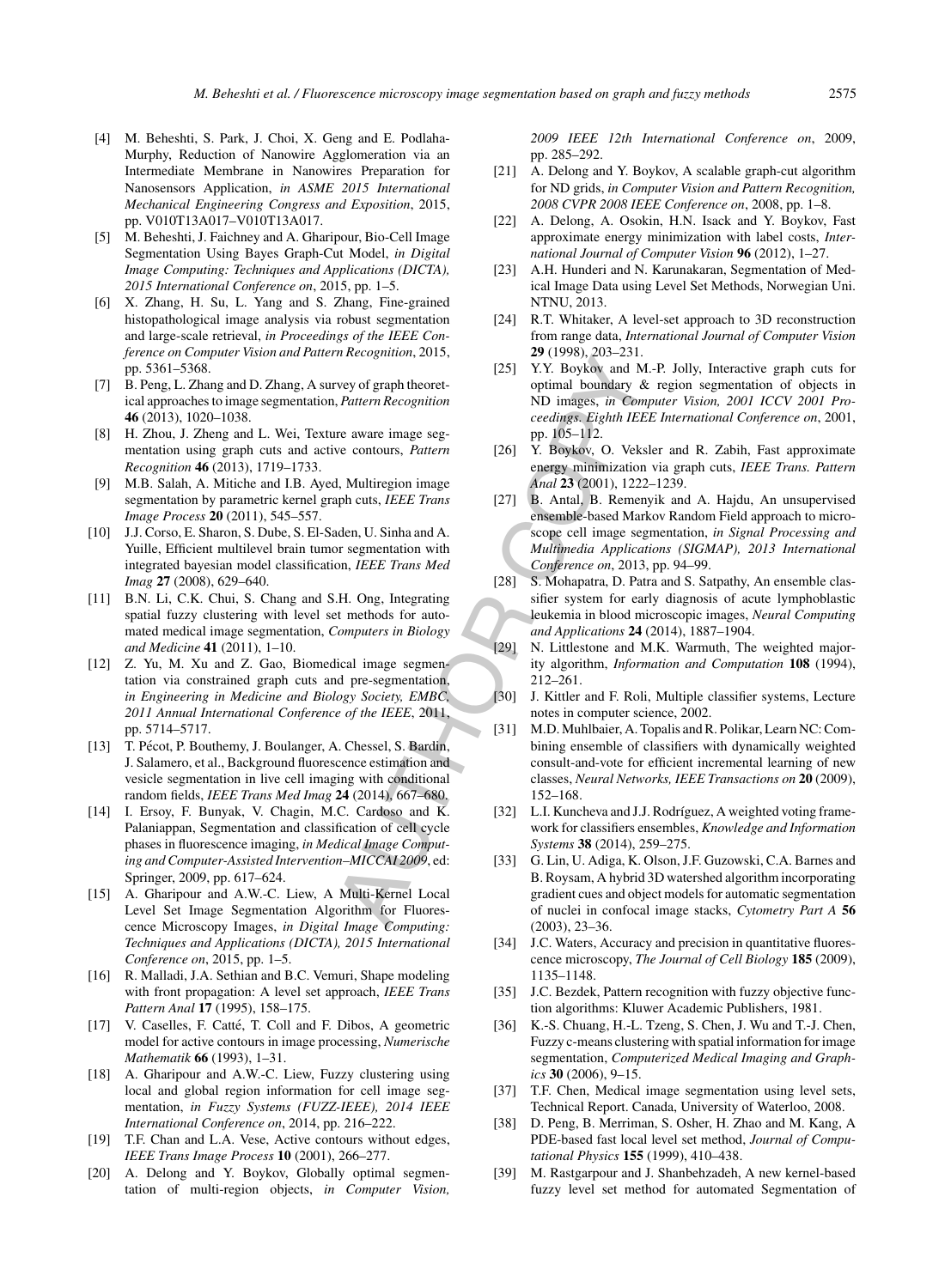- [4] M. Beheshti, S. Park, J. Choi, X. Geng and E. Podlaha-Murphy, Reduction of Nanowire Agglomeration via an Intermediate Membrane in Nanowires Preparation for Nanosensors Application, *in ASME 2015 International Mechanical Engineering Congress and Exposition*, 2015, pp. V010T13A017–V010T13A017.
- [5] M. Beheshti, J. Faichney and A. Gharipour, Bio-Cell Image Segmentation Using Bayes Graph-Cut Model, *in Digital Image Computing: Techniques and Applications (DICTA), 2015 International Conference on*, 2015, pp. 1–5.
- [6] X. Zhang, H. Su, L. Yang and S. Zhang, Fine-grained histopathological image analysis via robust segmentation and large-scale retrieval, *in Proceedings of the IEEE Conference on Computer Vision and Pattern Recognition*, 2015, pp. 5361–5368.
- [7] B. Peng, L. Zhang and D. Zhang, A survey of graph theoretical approaches to image segmentation, *Pattern Recognition* **46** (2013), 1020–1038.
- [8] H. Zhou, J. Zheng and L. Wei, Texture aware image segmentation using graph cuts and active contours, *Pattern Recognition* **46** (2013), 1719–1733.
- [9] M.B. Salah, A. Mitiche and I.B. Ayed, Multiregion image segmentation by parametric kernel graph cuts, *IEEE Trans Image Process* **20** (2011), 545–557.
- [10] J.J. Corso, E. Sharon, S. Dube, S. El-Saden, U. Sinha and A. Yuille, Efficient multilevel brain tumor segmentation with integrated bayesian model classification, *IEEE Trans Med Imag* **27** (2008), 629–640.
- [11] B.N. Li, C.K. Chui, S. Chang and S.H. Ong, Integrating spatial fuzzy clustering with level set methods for automated medical image segmentation, *Computers in Biology and Medicine* **41** (2011), 1–10.
- [12] Z. Yu, M. Xu and Z. Gao, Biomedical image segmentation via constrained graph cuts and pre-segmentation, *in Engineering in Medicine and Biology Society, EMBC, 2011 Annual International Conference of the IEEE*, 2011, pp. 5714–5717.
- [13] T. Pécot, P. Bouthemy, J. Boulanger, A. Chessel, S. Bardin, J. Salamero, et al., Background fluorescence estimation and vesicle segmentation in live cell imaging with conditional random fields, *IEEE Trans Med Imag* **24** (2014), 667–680.
- [14] I. Ersoy, F. Bunyak, V. Chagin, M.C. Cardoso and K. Palaniappan, Segmentation and classification of cell cycle phases in fluorescence imaging, *in Medical Image Computing and Computer-Assisted Intervention–MICCAI 2009*, ed: Springer, 2009, pp. 617–624.
- [15] A. Gharipour and A.W.-C. Liew, A Multi-Kernel Local Level Set Image Segmentation Algorithm for Fluorescence Microscopy Images, *in Digital Image Computing: Techniques and Applications (DICTA), 2015 International Conference on*, 2015, pp. 1–5.
- [16] R. Malladi, J.A. Sethian and B.C. Vemuri, Shape modeling with front propagation: A level set approach, *IEEE Trans Pattern Anal* **17** (1995), 158–175.
- [17] V. Caselles, F. Catté, T. Coll and F. Dibos, A geometric model for active contours in image processing, *Numerische Mathematik* **66** (1993), 1–31.
- [18] A. Gharipour and A.W.-C. Liew, Fuzzy clustering using local and global region information for cell image segmentation, *in Fuzzy Systems (FUZZ-IEEE), 2014 IEEE International Conference on*, 2014, pp. 216–222.
- [19] T.F. Chan and L.A. Vese, Active contours without edges, *IEEE Trans Image Process* **10** (2001), 266–277.
- [20] A. Delong and Y. Boykov, Globally optimal segmentation of multi-region objects, *in Computer Vision,*

*2009 IEEE 12th International Conference on*, 2009, pp. 285–292.

- [21] A. Delong and Y. Boykov, A scalable graph-cut algorithm for ND grids, *in Computer Vision and Pattern Recognition, 2008 CVPR 2008 IEEE Conference on*, 2008, pp. 1–8.
- [22] A. Delong, A. Osokin, H.N. Isack and Y. Boykov, Fast approximate energy minimization with label costs, *International Journal of Computer Vision* **96** (2012), 1–27.
- [23] A.H. Hunderi and N. Karunakaran, Segmentation of Medical Image Data using Level Set Methods, Norwegian Uni. NTNU, 2013.
- [24] R.T. Whitaker, A level-set approach to 3D reconstruction from range data, *International Journal of Computer Vision* **29** (1998), 203–231.
- [25] Y.Y. Boykov and M.-P. Jolly, Interactive graph cuts for optimal boundary & region segmentation of objects in ND images, *in Computer Vision, 2001 ICCV 2001 Proceedings. Eighth IEEE International Conference on*, 2001, pp. 105–112.
- [26] Y. Boykov, O. Veksler and R. Zabih, Fast approximate energy minimization via graph cuts, *IEEE Trans. Pattern Anal* **23** (2001), 1222–1239.
- [27] B. Antal, B. Remenyik and A. Hajdu, An unsupervised ensemble-based Markov Random Field approach to microscope cell image segmentation, *in Signal Processing and Multimedia Applications (SIGMAP), 2013 International Conference on*, 2013, pp. 94–99.
- [28] S. Mohapatra, D. Patra and S. Satpathy, An ensemble classifier system for early diagnosis of acute lymphoblastic leukemia in blood microscopic images, *Neural Computing and Applications* **24** (2014), 1887–1904.
- [29] N. Littlestone and M.K. Warmuth, The weighted majority algorithm, *Information and Computation* **108** (1994), 212–261.
- [30] J. Kittler and F. Roli, Multiple classifier systems, Lecture notes in computer science, 2002.
- Examples the technology of the technology of the set and bundary of the contours, Pattern Recognition<br>
The avere image seg-<br>
The contours, Pattern (26) Y. Boykov, O. Veks<br>
1, Multiregion image and 23 (2001), 1222<br>
1, Mult [31] M.D. Muhlbaier, A. Topalis and R. Polikar, Learn NC: Combining ensemble of classifiers with dynamically weighted consult-and-vote for efficient incremental learning of new classes, *Neural Networks, IEEE Transactions on* **20** (2009), 152–168.
	- [32] L.I. Kuncheva and J.J. Rodríguez, A weighted voting framework for classifiers ensembles, *Knowledge and Information Systems* **38** (2014), 259–275.
	- [33] G. Lin, U. Adiga, K. Olson, J.F. Guzowski, C.A. Barnes and B. Roysam, A hybrid 3D watershed algorithm incorporating gradient cues and object models for automatic segmentation of nuclei in confocal image stacks, *Cytometry Part A* **56** (2003), 23–36.
	- [34] J.C. Waters, Accuracy and precision in quantitative fluorescence microscopy, *The Journal of Cell Biology* **185** (2009), 1135–1148.
	- [35] J.C. Bezdek, Pattern recognition with fuzzy objective function algorithms: Kluwer Academic Publishers, 1981.
	- [36] K.-S. Chuang, H.-L. Tzeng, S. Chen, J. Wu and T.-J. Chen, Fuzzy c-means clustering with spatial information for image segmentation, *Computerized Medical Imaging and Graphics* **30** (2006), 9–15.
	- [37] T.F. Chen, Medical image segmentation using level sets, Technical Report. Canada, University of Waterloo, 2008.
	- [38] D. Peng, B. Merriman, S. Osher, H. Zhao and M. Kang, A PDE-based fast local level set method, *Journal of Computational Physics* **155** (1999), 410–438.
	- [39] M. Rastgarpour and J. Shanbehzadeh, A new kernel-based fuzzy level set method for automated Segmentation of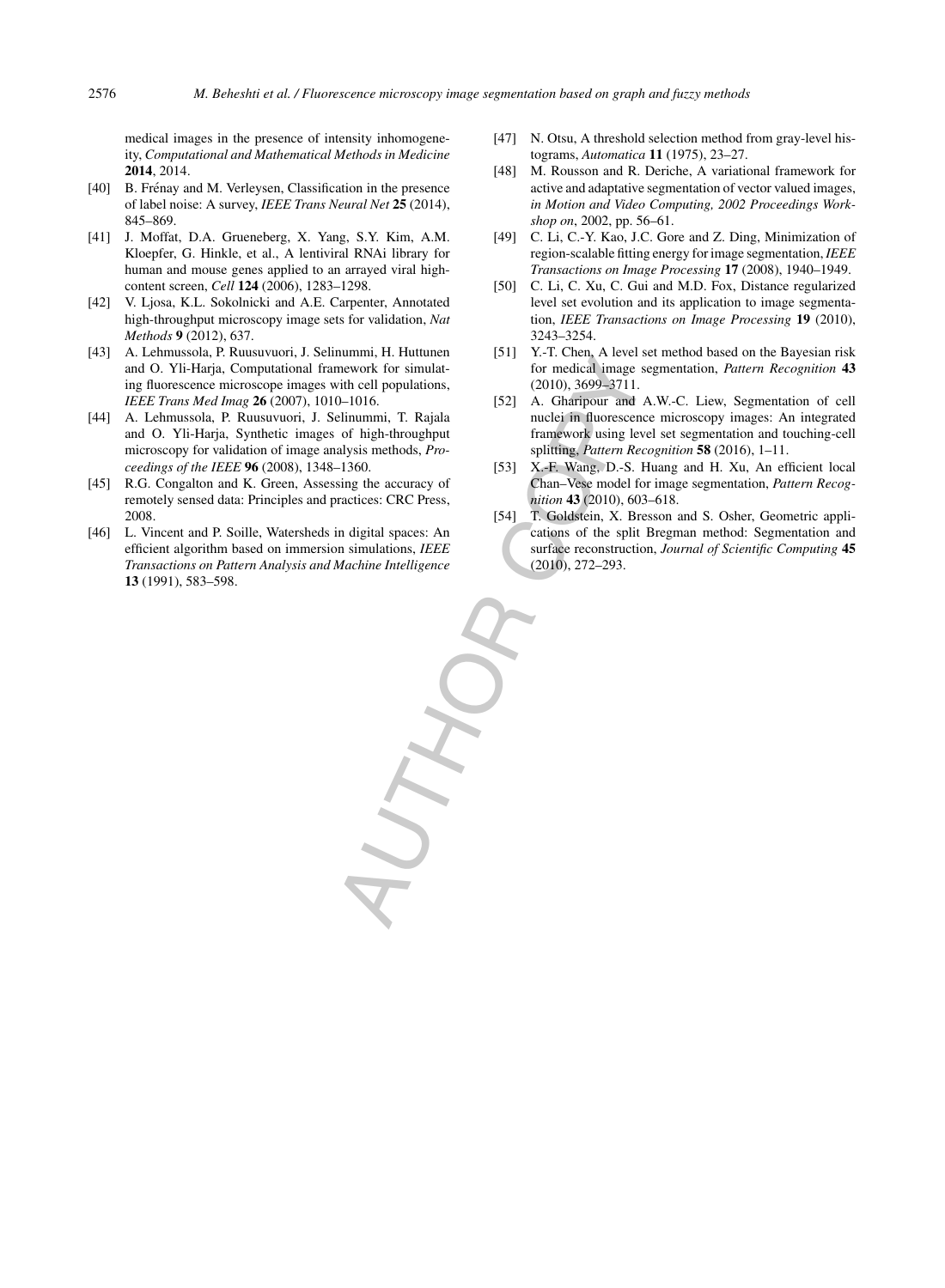medical images in the presence of intensity inhomogeneity, *Computational and Mathematical Methods in Medicine* **2014**, 2014.

- [40] B. Frénay and M. Verleysen, Classification in the presence of label noise: A survey, *IEEE Trans Neural Net* **25** (2014), 845–869.
- [41] J. Moffat, D.A. Grueneberg, X. Yang, S.Y. Kim, A.M. Kloepfer, G. Hinkle, et al., A lentiviral RNAi library for human and mouse genes applied to an arrayed viral highcontent screen, *Cell* **124** (2006), 1283–1298.
- [42] V. Ljosa, K.L. Sokolnicki and A.E. Carpenter, Annotated high-throughput microscopy image sets for validation, *Nat Methods* **9** (2012), 637.
- [43] A. Lehmussola, P. Ruusuvuori, J. Selinummi, H. Huttunen and O. Yli-Harja, Computational framework for simulating fluorescence microscope images with cell populations, *IEEE Trans Med Imag* **26** (2007), 1010–1016.
- [44] A. Lehmussola, P. Ruusuvuori, J. Selinummi, T. Rajala and O. Yli-Harja, Synthetic images of high-throughput microscopy for validation of image analysis methods, *Proceedings of the IEEE* **96** (2008), 1348–1360.
- [45] R.G. Congalton and K. Green, Assessing the accuracy of remotely sensed data: Principles and practices: CRC Press, 2008.
- [46] L. Vincent and P. Soille, Watersheds in digital spaces: An efficient algorithm based on immersion simulations, *IEEE Transactions on Pattern Analysis and Machine Intelligence* **13** (1991), 583–598.
- [47] N. Otsu, A threshold selection method from gray-level histograms, *Automatica* **11** (1975), 23–27.
- [48] M. Rousson and R. Deriche, A variational framework for active and adaptative segmentation of vector valued images, *in Motion and Video Computing, 2002 Proceedings Workshop on*, 2002, pp. 56–61.
- [49] C. Li, C.-Y. Kao, J.C. Gore and Z. Ding, Minimization of region-scalable fitting energy for image segmentation,*IEEE Transactions on Image Processing* **17** (2008), 1940–1949.
- [50] C. Li, C. Xu, C. Gui and M.D. Fox, Distance regularized level set evolution and its application to image segmentation, *IEEE Transactions on Image Processing* **19** (2010), 3243–3254.
- [51] Y.-T. Chen, A level set method based on the Bayesian risk for medical image segmentation, *Pattern Recognition* **43** (2010), 3699–3711.
- [52] A. Gharipour and A.W.-C. Liew, Segmentation of cell nuclei in fluorescence microscopy images: An integrated framework using level set segmentation and touching-cell splitting, *Pattern Recognition* **58** (2016), 1–11.
- [53] X.-F. Wang, D.-S. Huang and H. Xu, An efficient local Chan–Vese model for image segmentation, *Pattern Recognition* **43** (2010), 603–618.
- mework for simulate<br>
mework for simulate<br>
in the control of the control of the control of the control of the celiminary. T. Rajala<br>
elinummi, T. Rajala<br>
elinummi, T. Rajala<br>
elinum framework using level<br>
alysis methods, Pr [54] T. Goldstein, X. Bresson and S. Osher, Geometric applications of the split Bregman method: Segmentation and surface reconstruction, *Journal of Scientific Computing* **45** (2010), 272–293.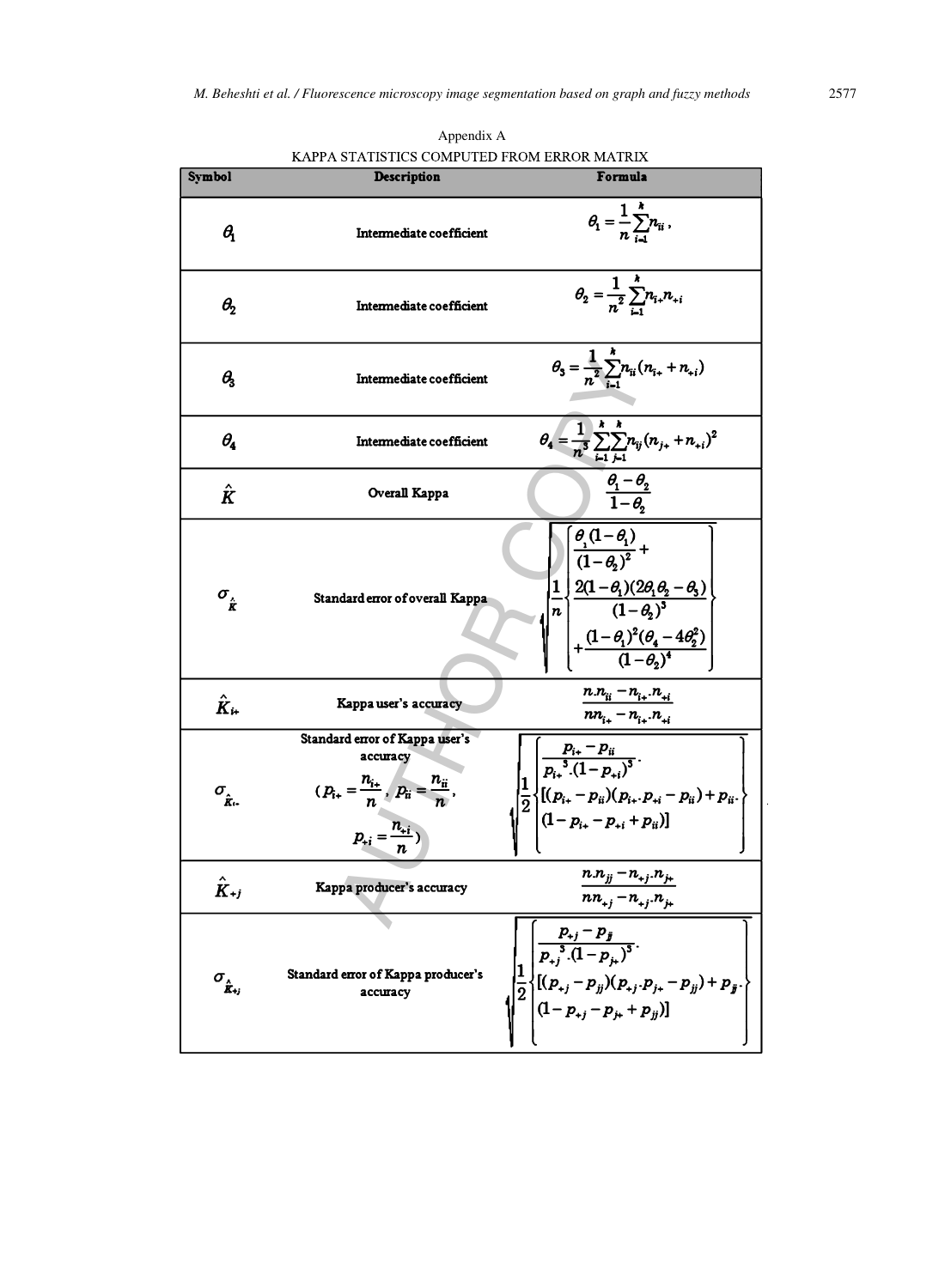| Symbol                                | Description                                                                                                                           | Formula                                                                                                                                                                                                                                                                           |
|---------------------------------------|---------------------------------------------------------------------------------------------------------------------------------------|-----------------------------------------------------------------------------------------------------------------------------------------------------------------------------------------------------------------------------------------------------------------------------------|
| $\theta_{\rm i}$                      | Intermediate coefficient                                                                                                              | $\theta_1 = \frac{1}{n} \sum_{i=1}^n n_{ii},$                                                                                                                                                                                                                                     |
| $\theta_{2}$                          | Intermediate coefficient                                                                                                              | $\theta_2 = \frac{1}{n^2} \sum_{i=1}^n n_{i+1} n_{+i}$                                                                                                                                                                                                                            |
| $\theta_{\!\scriptscriptstyle 3}$     | Intermediate coefficient                                                                                                              | $\theta_3 = \frac{1}{n^2} \sum_{i=1}^n n_{ii} (n_{i+} + n_{+i})$                                                                                                                                                                                                                  |
| $\theta_4$                            | Intermediate coefficient                                                                                                              | $\theta_4 = \frac{1}{n^3} \sum_{i=1}^{n} \sum_{j=1}^{n} n_{ij} (n_{j+} + n_{+i})^2$                                                                                                                                                                                               |
| $\hat{\bm{K}}$                        | Overall Kappa                                                                                                                         | $\frac{\theta_1-\theta_2}{1-\theta_2}$                                                                                                                                                                                                                                            |
| $\sigma_{\hat{\mathbf{r}}}$           | Standard error of overall Kappa                                                                                                       | $\left[\frac{\theta_1(1-\theta_1)}{(1-\theta_2)^2}+\right]$<br>$\begin{array}{ c c }\n\hline\n1 & 2(1 - \theta_1)(2\theta_1\theta_2 - \theta_3) \\ \hline\nn & (1 - \theta_2)^3 \\ \hline\n+ (1 - \theta_1)^2(\theta_4 - 4\theta_2^2) \\ \hline\n- (1 - \theta_2)^4\n\end{array}$ |
| $\hat{\bm{K}}_{i\texttt{+}}$          | Kappa user's accuracy                                                                                                                 | $n.n_{ii} - n_{i+}.n_{+i}$<br>$nn_{i+}-n_{i+}.n_{\scriptscriptstyle +i}$                                                                                                                                                                                                          |
| $\sigma_{\hat{\tilde{K}}_\leftarrow}$ | Standard error of Kappa user's<br>accuracy<br>$(p_{i+} = \frac{n_{i+}}{n}, p_{ii} = \frac{n_{ii}}{n},$<br>$p_{+i} = \frac{n_{+i}}{n}$ | $\begin{array}{l}\n\left  \frac{p_{i+} - p_{ii}}{p_{i+}^{(3)} (1 - p_{+i})^5} \right  \\ \left  \frac{1}{2} \left  \frac{(p_{i+} - p_{ii})(p_{i+}, p_{+i} - p_{ii}) + p_{ii}}{(1 - p_{i+} - p_{+i} + p_{ii})} \right  \right  \\ \end{array}$                                     |
| $\hat{K}_{+j}$                        | Kappa producer's accuracy                                                                                                             | $\frac{n.n_{jj}-n_{+j}.n_{j+}}{nn_{+j}-n_{+j}.n_{j+}}$                                                                                                                                                                                                                            |
| $\sigma_{\hat{\hat{K}}_{*j}}$         | Standard error of Kappa producer's<br>accuracy                                                                                        | $\begin{array}{l} \left  \frac{p_{+j}-p_{j}}{p_{+j}^{3}\cdot (1-p_{j_{+}})^{3}} \right  \ \left  \frac{1}{2} \left  \frac{(p_{+j}-p_{jj})(p_{+j}\cdot p_{j_{+}}-p_{jj})+p_{j}}{(1-p_{+j}-p_{j_{+}}+p_{jj})} \right  \end{array} \right  \end{array}$                              |

Appendix AKAPPA STATISTICS COMPUTED FROM ERROR MATRIX